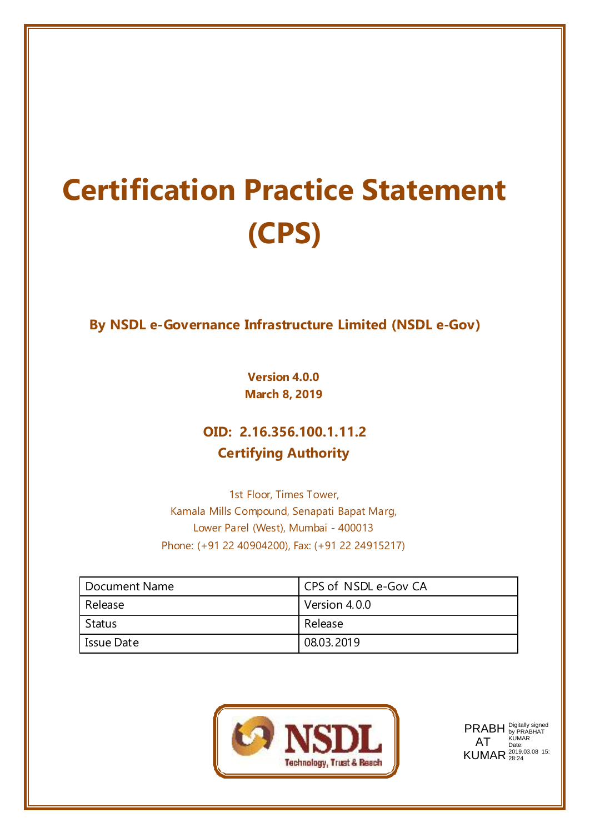# Certification Practice Statement (CPS)

By NSDL e-Governance Infrastructure Limited (NSDL e-Gov)

Version 4.0.0 March 8, 2019

# OID: 2.16.356.100.1.11.2 Certifying Authority

1st Floor, Times Tower, Kamala Mills Compound, Senapati Bapat Marg, Lower Parel (West), Mumbai - 400013 Phone: (+91 22 40904200), Fax: (+91 22 24915217)

| Document Name | CPS of NSDL e-Gov CA |
|---------------|----------------------|
| Release       | Version 4.0.0        |
| Status        | Release              |
| l Issue Date  | 08.03.2019           |



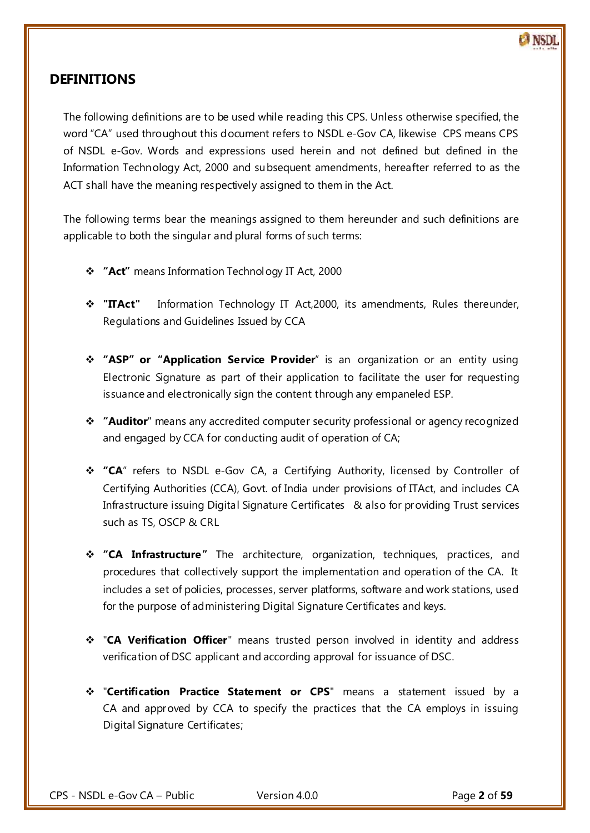

# DEFINITIONS

The following definitions are to be used while reading this CPS. Unless otherwise specified, the word "CA" used throughout this document refers to NSDL e-Gov CA, likewise CPS means CPS of NSDL e-Gov. Words and expressions used herein and not defined but defined in the Information Technology Act, 2000 and subsequent amendments, hereafter referred to as the ACT shall have the meaning respectively assigned to them in the Act.

The following terms bear the meanings assigned to them hereunder and such definitions are applicable to both the singular and plural forms of such terms:

- **\* "Act"** means Information Technology IT Act, 2000
- \* "ITAct" Information Technology IT Act, 2000, its amendments, Rules thereunder, Regulations and Guidelines Issued by CCA
- \* "ASP" or "Application Service Provider" is an organization or an entity using Electronic Signature as part of their application to facilitate the user for requesting issuance and electronically sign the content through any empaneled ESP.
- \* "Auditor" means any accredited computer security professional or agency recognized and engaged by CCA for conducting audit of operation of CA;
- $\div$  "CA" refers to NSDL e-Gov CA, a Certifying Authority, licensed by Controller of Certifying Authorities (CCA), Govt. of India under provisions of ITAct, and includes CA Infrastructure issuing Digital Signature Certificates & also for providing Trust services such as TS, OSCP & CRL
- \* "CA Infrastructure" The architecture, organization, techniques, practices, and procedures that collectively support the implementation and operation of the CA. It includes a set of policies, processes, server platforms, software and work stations, used for the purpose of administering Digital Signature Certificates and keys.
- \* "CA Verification Officer" means trusted person involved in identity and address verification of DSC applicant and according approval for issuance of DSC.
- \* "Certification Practice Statement or CPS" means a statement issued by a CA and approved by CCA to specify the practices that the CA employs in issuing Digital Signature Certificates;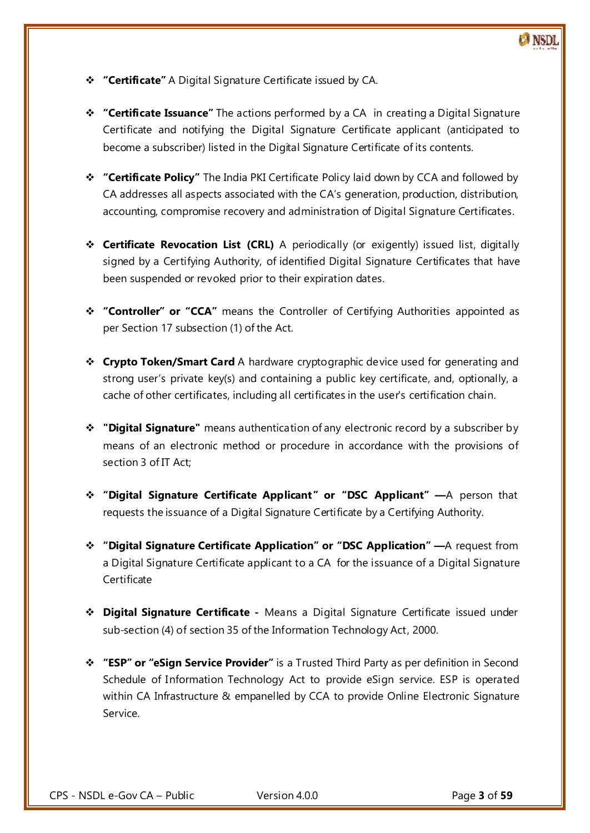- "Certificate" A Digital Signature Certificate issued by CA.
- ❖ "Certificate Issuance" The actions performed by a CA in creating a Digital Signature Certificate and notifying the Digital Signature Certificate applicant (anticipated to become a subscriber) listed in the Digital Signature Certificate of its contents.
- **\* "Certificate Policy"** The India PKI Certificate Policy laid down by CCA and followed by CA addresses all aspects associated with the CA's generation, production, distribution, accounting, compromise recovery and administration of Digital Signature Certificates.
- $\div$  Certificate Revocation List (CRL) A periodically (or exigently) issued list, digitally signed by a Certifying Authority, of identified Digital Signature Certificates that have been suspended or revoked prior to their expiration dates.
- \* "Controller" or "CCA" means the Controller of Certifying Authorities appointed as per Section 17 subsection (1) of the Act.
- **Erypto Token/Smart Card** A hardware cryptographic device used for generating and strong user's private key(s) and containing a public key certificate, and, optionally, a cache of other certificates, including all certificates in the user's certification chain.
- $\div$  "Digital Signature" means authentication of any electronic record by a subscriber by means of an electronic method or procedure in accordance with the provisions of section 3 of IT Act;
- $\div$  "Digital Signature Certificate Applicant" or "DSC Applicant" —A person that requests the issuance of a Digital Signature Certificate by a Certifying Authority.
- "Digital Signature Certificate Application" or "DSC Application" —A request from a Digital Signature Certificate applicant to a CA for the issuance of a Digital Signature Certificate
- Digital Signature Certificate Means a Digital Signature Certificate issued under sub-section (4) of section 35 of the Information Technology Act, 2000.
- **\*** "ESP" or "eSign Service Provider" is a Trusted Third Party as per definition in Second Schedule of Information Technology Act to provide eSign service. ESP is operated within CA Infrastructure & empanelled by CCA to provide Online Electronic Signature Service.

UI NST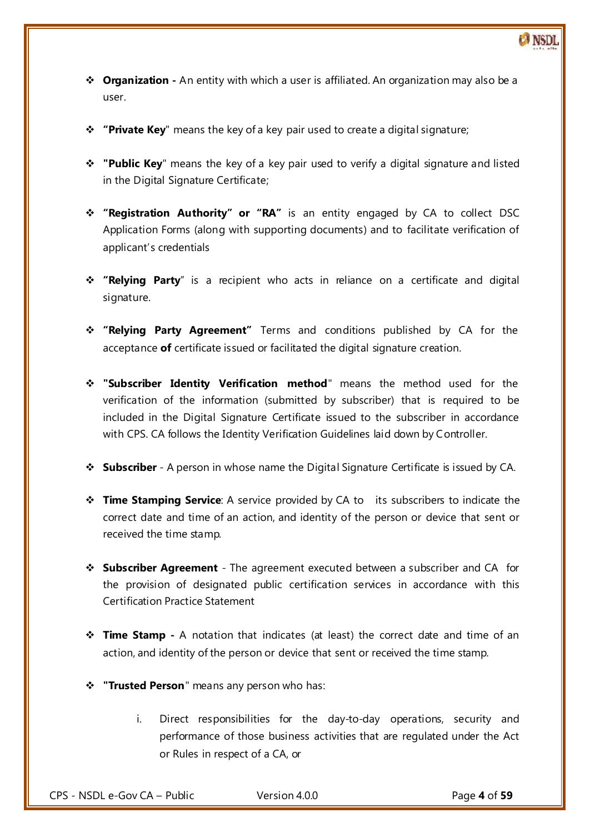

- $\div$  Organization An entity with which a user is affiliated. An organization may also be a user.
- $\div$  "Private Key" means the key of a key pair used to create a digital signature;
- $\div$  "Public Key" means the key of a key pair used to verify a digital signature and listed in the Digital Signature Certificate;
- \* "Registration Authority" or "RA" is an entity engaged by CA to collect DSC Application Forms (along with supporting documents) and to facilitate verification of applicant's credentials
- \* "Relying Party" is a recipient who acts in reliance on a certificate and digital signature.
- \* "Relying Party Agreement" Terms and conditions published by CA for the acceptance of certificate issued or facilitated the digital signature creation.
- included in the Digital Signature Certificate issued to the subscriber in accordance \* "Subscriber Identity Verification method" means the method used for the verification of the information (submitted by subscriber) that is required to be with CPS. CA follows the Identity Verification Guidelines laid down by Controller.
- **Subscriber** A person in whose name the Digital Signature Certificate is issued by CA.
- **Time Stamping Service**: A service provided by CA to its subscribers to indicate the correct date and time of an action, and identity of the person or device that sent or received the time stamp.
- **↑ Subscriber Agreement** The agreement executed between a subscriber and CA for the provision of designated public certification services in accordance with this Certification Practice Statement
- $\div$  Time Stamp A notation that indicates (at least) the correct date and time of an action, and identity of the person or device that sent or received the time stamp.
- "Trusted Person" means any person who has:
	- i. Direct responsibilities for the day-to-day operations, security and performance of those business activities that are regulated under the Act or Rules in respect of a CA, or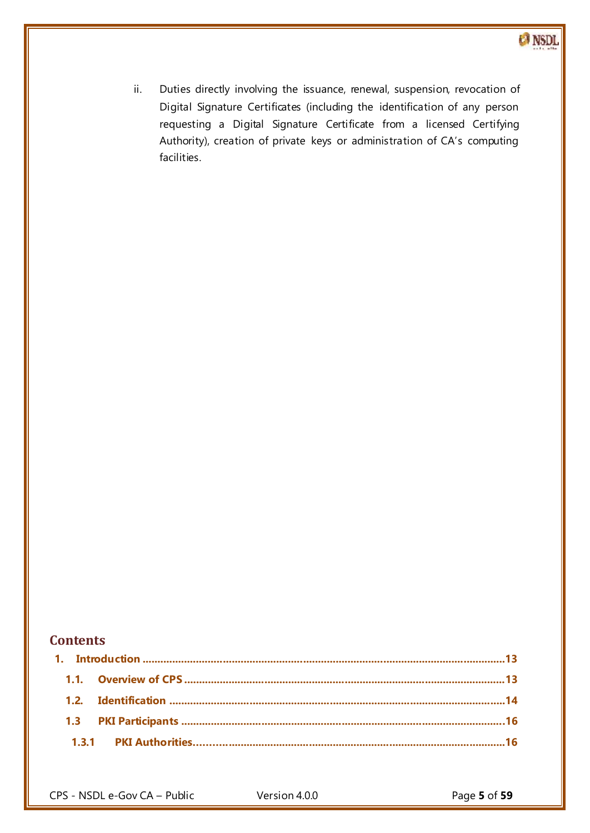

ii. Duties directly involving the issuance, renewal, suspension, revocation of Digital Signature Certificates (including the identification of any person requesting a Digital Signature Certificate from a licensed Certifying Authority), creation of private keys or administration of CA's computing facilities.

# **Contents**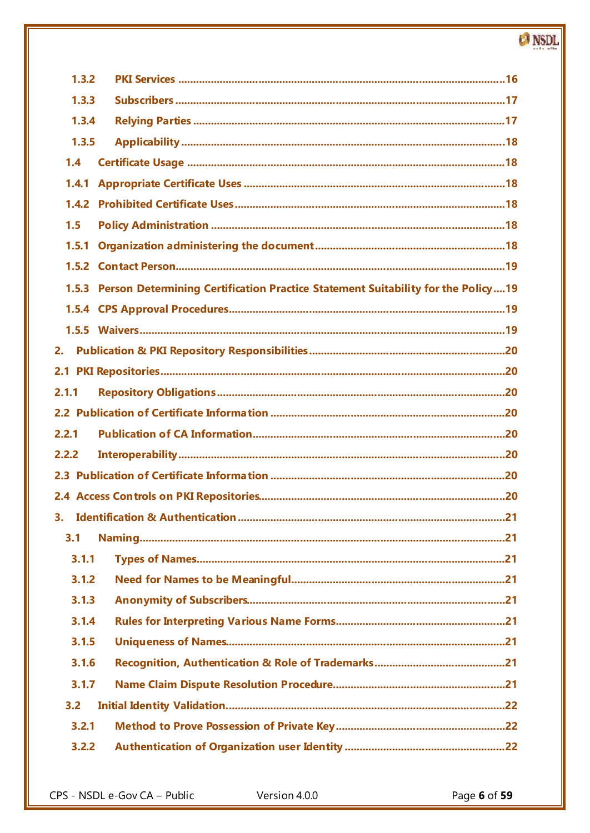# **C** NSDI

| 1.3.2   |                                                                                  |
|---------|----------------------------------------------------------------------------------|
| 1.3.3   |                                                                                  |
| 1.3.4   |                                                                                  |
| 1.3.5   |                                                                                  |
| 1.4     |                                                                                  |
| 1.4.1   |                                                                                  |
|         |                                                                                  |
| 1.5     |                                                                                  |
| 1.5.1   |                                                                                  |
| 1.5.2   |                                                                                  |
| 1, 5, 3 | Person Determining Certification Practice Statement Suitability for the Policy19 |
|         |                                                                                  |
|         |                                                                                  |
| 2.      |                                                                                  |
|         |                                                                                  |
| 2.1.1   |                                                                                  |
|         |                                                                                  |
| 2.2.1   |                                                                                  |
| 2.2.2   |                                                                                  |
|         |                                                                                  |
|         |                                                                                  |
|         |                                                                                  |
| 3.1     |                                                                                  |
| 3.1.1   |                                                                                  |
| 3.1.2   |                                                                                  |
| 3.1.3   |                                                                                  |
| 3.1.4   |                                                                                  |
| 3.1.5   |                                                                                  |
| 3.1.6   |                                                                                  |
| 3.1.7   |                                                                                  |
| 3.2     |                                                                                  |
| 3.2.1   |                                                                                  |
| 3.2.2   |                                                                                  |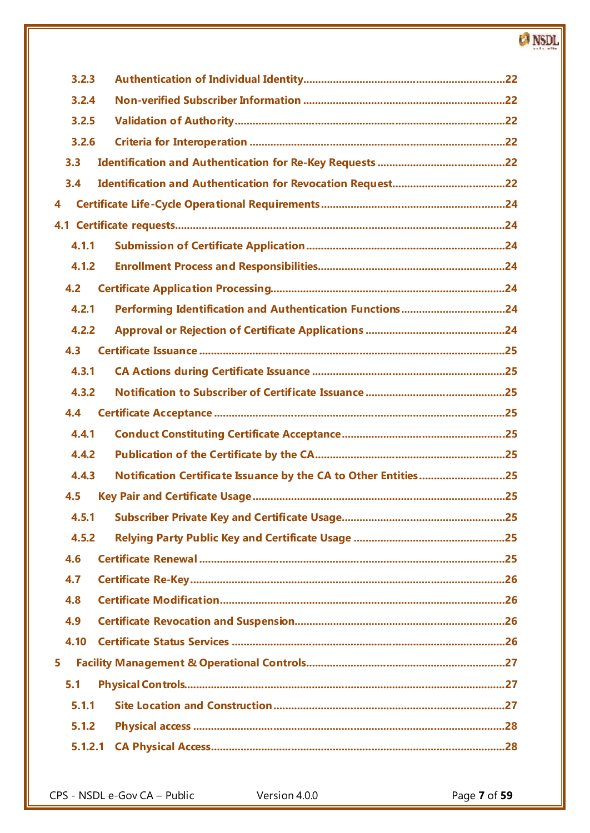# **C** NSDI

| 3.2.3   |                                                                 |
|---------|-----------------------------------------------------------------|
| 3.2.4   |                                                                 |
| 3.2.5   |                                                                 |
| 3.2.6   |                                                                 |
| 3.3     |                                                                 |
| 3.4     |                                                                 |
| 4       |                                                                 |
|         |                                                                 |
| 4.1.1   |                                                                 |
| 4.1.2   |                                                                 |
| 4.2     |                                                                 |
| 4.2.1   |                                                                 |
| 4.2.2   |                                                                 |
| 4.3     |                                                                 |
| 4.3.1   |                                                                 |
| 4.3.2   |                                                                 |
| 4.4     |                                                                 |
| 4.4.1   |                                                                 |
| 4.4.2   |                                                                 |
| 4.4.3   | Notification Certificate Issuance by the CA to Other Entities25 |
| 4.5     |                                                                 |
| 4.5.1   |                                                                 |
| 4.5.2   |                                                                 |
| 4.6     |                                                                 |
| 4.7     |                                                                 |
| 4.8     |                                                                 |
| 4.9     |                                                                 |
| 4.10    |                                                                 |
| 5       |                                                                 |
| 5.1     |                                                                 |
| 5.1.1   |                                                                 |
| 5.1.2   |                                                                 |
| 5.1.2.1 |                                                                 |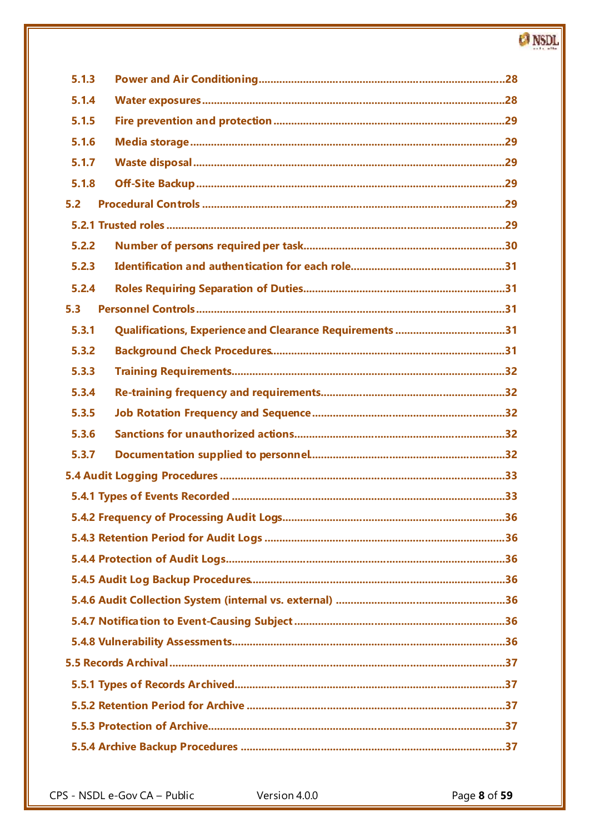# **CI NSDI**

| 5.1.3 |  |
|-------|--|
| 5.1.4 |  |
| 5.1.5 |  |
| 5.1.6 |  |
| 5.1.7 |  |
| 5.1.8 |  |
| 5.2   |  |
|       |  |
| 5.2.2 |  |
| 5.2.3 |  |
| 5.2.4 |  |
| 5.3   |  |
| 5.3.1 |  |
| 5.3.2 |  |
| 5.3.3 |  |
| 5.3.4 |  |
| 5.3.5 |  |
| 5.3.6 |  |
| 5.3.7 |  |
|       |  |
|       |  |
|       |  |
|       |  |
|       |  |
|       |  |
|       |  |
|       |  |
|       |  |
|       |  |
|       |  |
|       |  |
|       |  |
|       |  |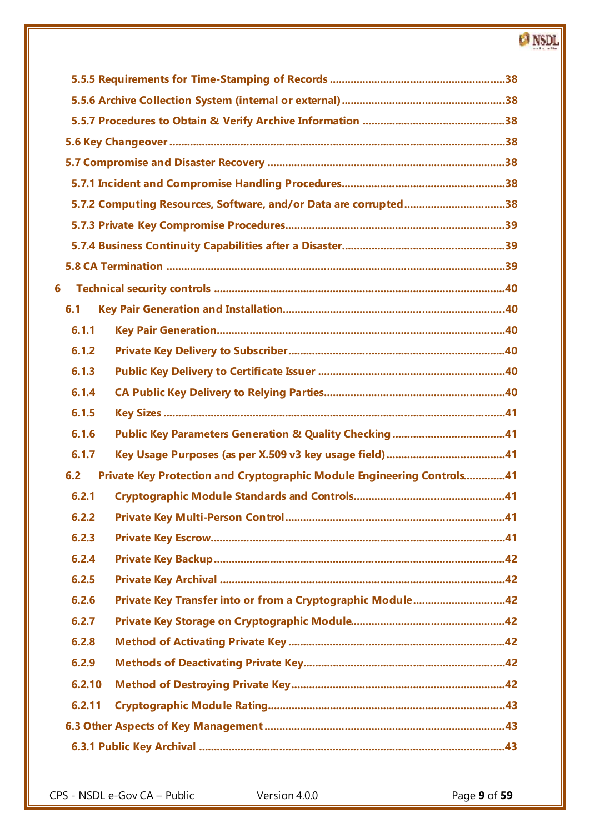# **C** NSDI

|        | 5.7.2 Computing Resources, Software, and/or Data are corrupted38       |  |  |
|--------|------------------------------------------------------------------------|--|--|
|        |                                                                        |  |  |
|        |                                                                        |  |  |
|        |                                                                        |  |  |
| 6      |                                                                        |  |  |
| 6.1    |                                                                        |  |  |
| 6.1.1  |                                                                        |  |  |
| 6.1.2  |                                                                        |  |  |
| 6.1.3  |                                                                        |  |  |
| 6.1.4  |                                                                        |  |  |
| 6.1.5  |                                                                        |  |  |
| 6.1.6  |                                                                        |  |  |
| 6.1.7  |                                                                        |  |  |
| 6.2    | Private Key Protection and Cryptographic Module Engineering Controls41 |  |  |
| 6.2.1  |                                                                        |  |  |
| 6.2.2  |                                                                        |  |  |
| 6.2.3  |                                                                        |  |  |
| 6.2.4  |                                                                        |  |  |
| 6.2.5  |                                                                        |  |  |
| 6.2.6  | Private Key Transfer into or from a Cryptographic Module42             |  |  |
| 6.2.7  |                                                                        |  |  |
| 6.2.8  |                                                                        |  |  |
| 6.2.9  |                                                                        |  |  |
| 6.2.10 |                                                                        |  |  |
| 6.2.11 |                                                                        |  |  |
|        |                                                                        |  |  |
|        |                                                                        |  |  |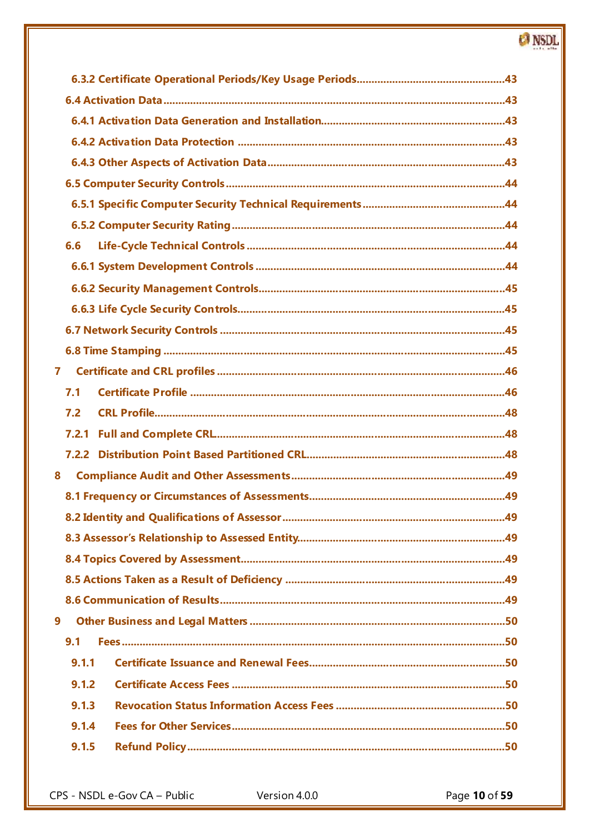# **CI NSDI**

| 6.6 |       |  |
|-----|-------|--|
|     |       |  |
|     |       |  |
|     |       |  |
|     |       |  |
|     |       |  |
| 7   |       |  |
| 7.1 |       |  |
| 7.2 |       |  |
|     |       |  |
|     | 7.2.2 |  |
| 8   |       |  |
|     |       |  |
|     |       |  |
|     |       |  |
|     |       |  |
|     |       |  |
|     |       |  |
| 9   |       |  |
| 9.1 |       |  |
|     | 9.1.1 |  |
|     | 9.1.2 |  |
|     | 9.1.3 |  |
|     | 9.1.4 |  |
|     | 9.1.5 |  |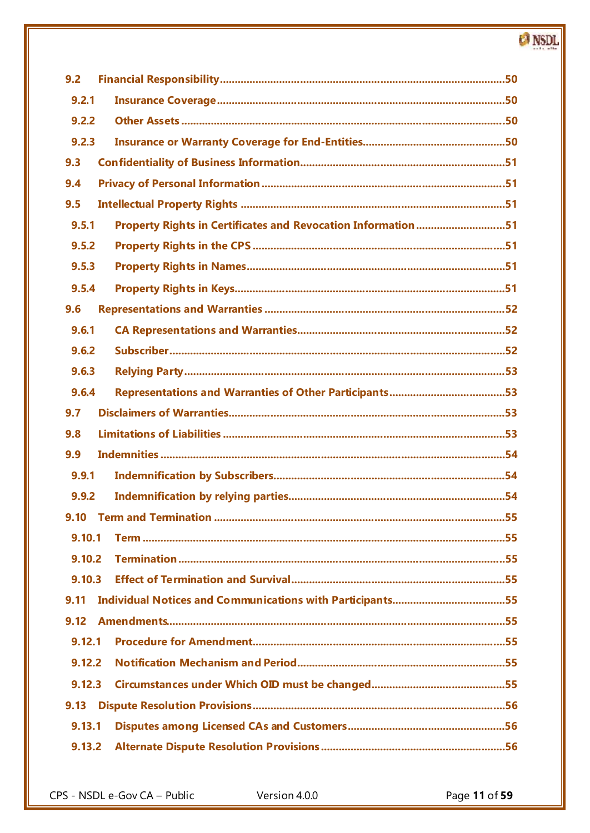# **CI NSDI**

| 9.2    |                                                               |  |  |
|--------|---------------------------------------------------------------|--|--|
| 9.2.1  |                                                               |  |  |
| 9.2.2  |                                                               |  |  |
| 9.2.3  |                                                               |  |  |
| 9.3    |                                                               |  |  |
| 9.4    |                                                               |  |  |
| 9.5    |                                                               |  |  |
| 9.5.1  | Property Rights in Certificates and Revocation Information 51 |  |  |
| 9.5.2  |                                                               |  |  |
| 9.5.3  |                                                               |  |  |
| 9.5.4  |                                                               |  |  |
| 9.6    |                                                               |  |  |
| 9.6.1  |                                                               |  |  |
| 9.6.2  |                                                               |  |  |
| 9.6.3  |                                                               |  |  |
| 9.6.4  |                                                               |  |  |
| 9.7    |                                                               |  |  |
|        |                                                               |  |  |
| 9.8    |                                                               |  |  |
| 9.9    |                                                               |  |  |
| 9.9.1  |                                                               |  |  |
| 9.9.2  |                                                               |  |  |
|        |                                                               |  |  |
| 9.10.1 |                                                               |  |  |
| 9.10.2 |                                                               |  |  |
| 9.10.3 |                                                               |  |  |
| 9.11   |                                                               |  |  |
| 9.12   |                                                               |  |  |
| 9.12.1 |                                                               |  |  |
| 9.12.2 |                                                               |  |  |
| 9.12.3 |                                                               |  |  |
| 9.13   |                                                               |  |  |
| 9.13.1 |                                                               |  |  |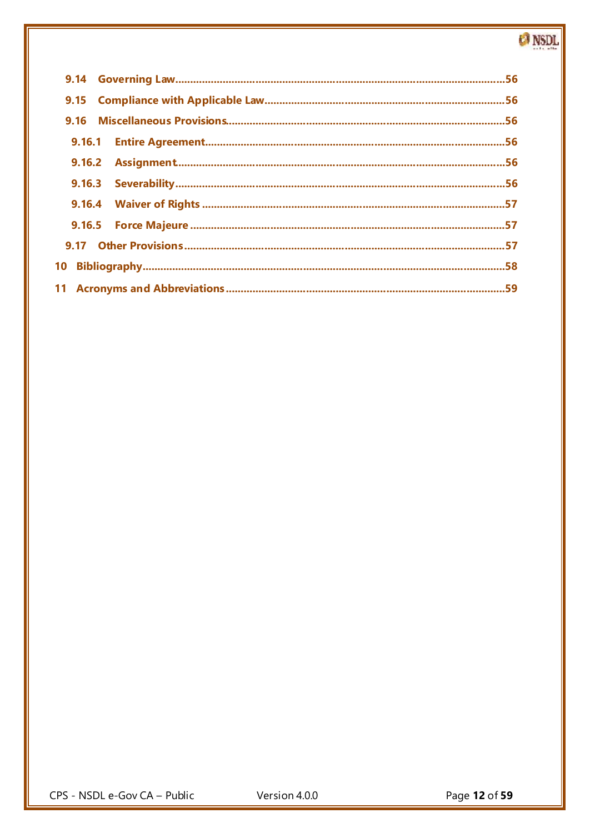# **C** NSDI

| 9.16 |  |
|------|--|
|      |  |
|      |  |
|      |  |
|      |  |
|      |  |
|      |  |
|      |  |
|      |  |
|      |  |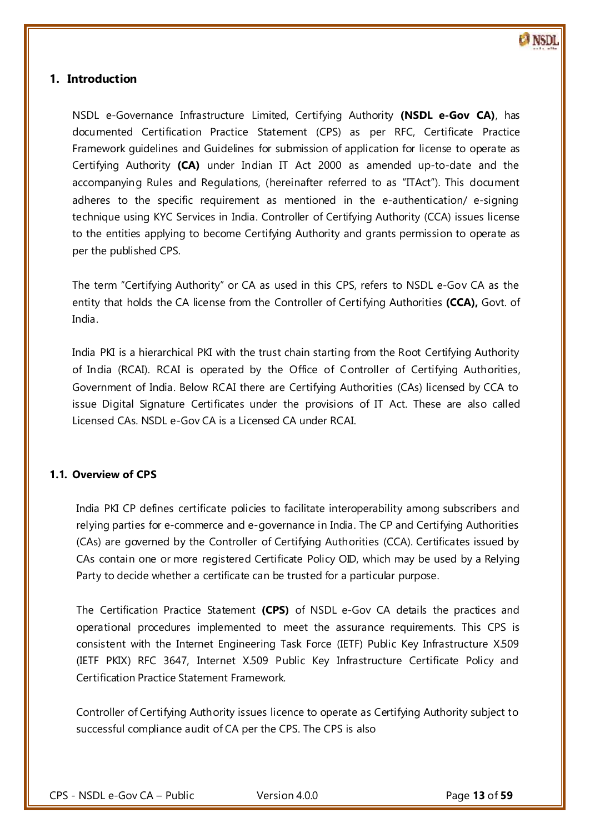

# 1. Introduction

NSDL e-Governance Infrastructure Limited, Certifying Authority (NSDL e-Gov CA), has documented Certification Practice Statement (CPS) as per RFC, Certificate Practice Framework guidelines and Guidelines for submission of application for license to operate as Certifying Authority (CA) under Indian IT Act 2000 as amended up-to-date and the accompanying Rules and Regulations, (hereinafter referred to as "ITAct"). This document adheres to the specific requirement as mentioned in the e-authentication/ e-signing technique using KYC Services in India. Controller of Certifying Authority (CCA) issues license to the entities applying to become Certifying Authority and grants permission to operate as per the published CPS.

The term "Certifying Authority" or CA as used in this CPS, refers to NSDL e-Gov CA as the entity that holds the CA license from the Controller of Certifying Authorities (CCA), Govt. of India.

 Licensed CAs. NSDL e-Gov CA is a Licensed CA under RCAI. India PKI is a hierarchical PKI with the trust chain starting from the Root Certifying Authority of India (RCAI). RCAI is operated by the Office of Controller of Certifying Authorities, Government of India. Below RCAI there are Certifying Authorities (CAs) licensed by CCA to issue Digital Signature Certificates under the provisions of IT Act. These are also called

#### 1.1. Overview of CPS

India PKI CP defines certificate policies to facilitate interoperability among subscribers and relying parties for e-commerce and e-governance in India. The CP and Certifying Authorities (CAs) are governed by the Controller of Certifying Authorities (CCA). Certificates issued by CAs contain one or more registered Certificate Policy OID, which may be used by a Relying Party to decide whether a certificate can be trusted for a particular purpose.

The Certification Practice Statement (CPS) of NSDL e-Gov CA details the practices and operational procedures implemented to meet the assurance requirements. This CPS is consistent with the Internet Engineering Task Force (IETF) Public Key Infrastructure X.509 (IETF PKIX) RFC 3647, Internet X.509 Public Key Infrastructure Certificate Policy and Certification Practice Statement Framework.

Controller of Certifying Authority issues licence to operate as Certifying Authority subject to successful compliance audit of CA per the CPS. The CPS is also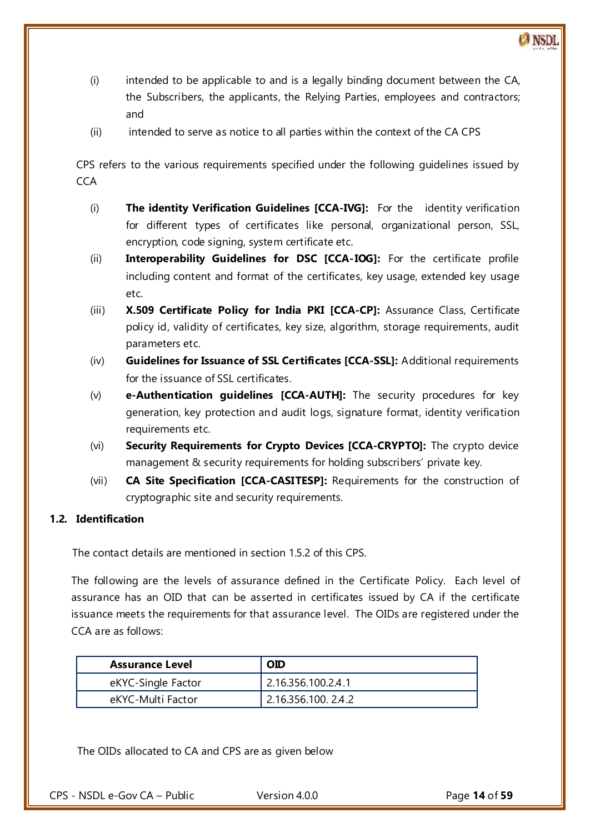- (i) intended to be applicable to and is a legally binding document between the CA, the Subscribers, the applicants, the Relying Parties, employees and contractors; and
- (ii) intended to serve as notice to all parties within the context of the CA CPS

CPS refers to the various requirements specified under the following guidelines issued by  $CCA$ 

- (i) The identity Verification Guidelines [CCA-IVG]: For the identity verification for different types of certificates like personal, organizational person, SSL, encryption, code signing, system certificate etc.
- (ii) Interoperability Guidelines for DSC [CCA-IOG]: For the certificate profile including content and format of the certificates, key usage, extended key usage etc.
- (iii) X.509 Certificate Policy for India PKI [CCA-CP]: Assurance Class, Certificate policy id, validity of certificates, key size, algorithm, storage requirements, audit parameters etc.
- (iv) Guidelines for Issuance of SSL Certificates [CCA-SSL]: Additional requirements for the issuance of SSL certificates.
- (v) e-Authentication guidelines [CCA-AUTH]: The security procedures for key generation, key protection and audit logs, signature format, identity verification requirements etc.
- (vi) Security Requirements for Crypto Devices [CCA-CRYPTO]: The crypto device management & security requirements for holding subscribers' private key.
- (vii) CA Site Specification [CCA-CASITESP]: Requirements for the construction of cryptographic site and security requirements.

# 1.2. Identification

The contact details are mentioned in section 1.5.2 of this CPS.

The following are the levels of assurance defined in the Certificate Policy. Each level of assurance has an OID that can be asserted in certificates issued by CA if the certificate issuance meets the requirements for that assurance level. The OIDs are registered under the CCA are as follows:

| <b>Assurance Level</b> | <b>OID</b>          |
|------------------------|---------------------|
| eKYC-Single Factor     | 2.16.356.100.2.4.1  |
| eKYC-Multi Factor      | 2.16.356.100. 2.4.2 |

The OIDs allocated to CA and CPS are as given below

M NSD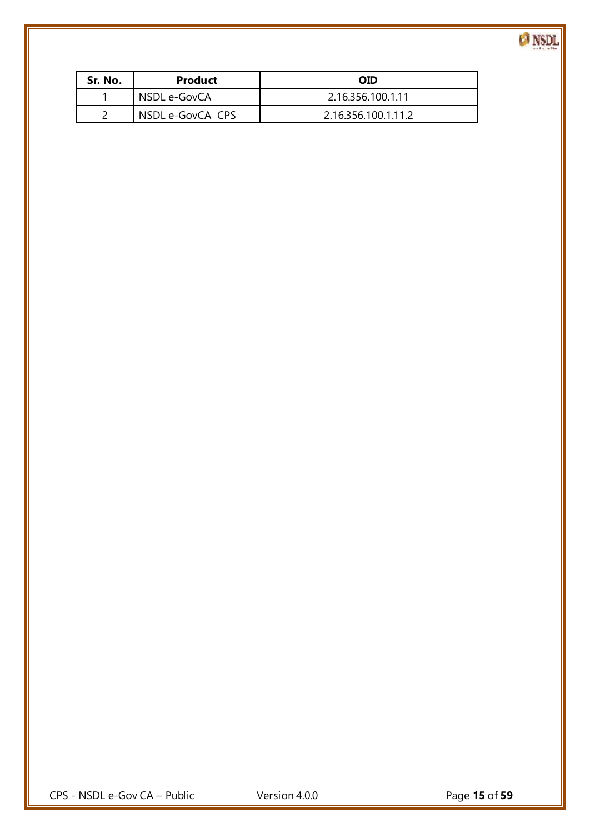

| Sr. No. | <b>Product</b>   | OID                 |
|---------|------------------|---------------------|
|         | NSDL e-GovCA     | 2.16.356.100.1.11   |
|         | NSDL e-GovCA CPS | 2.16.356.100.1.11.2 |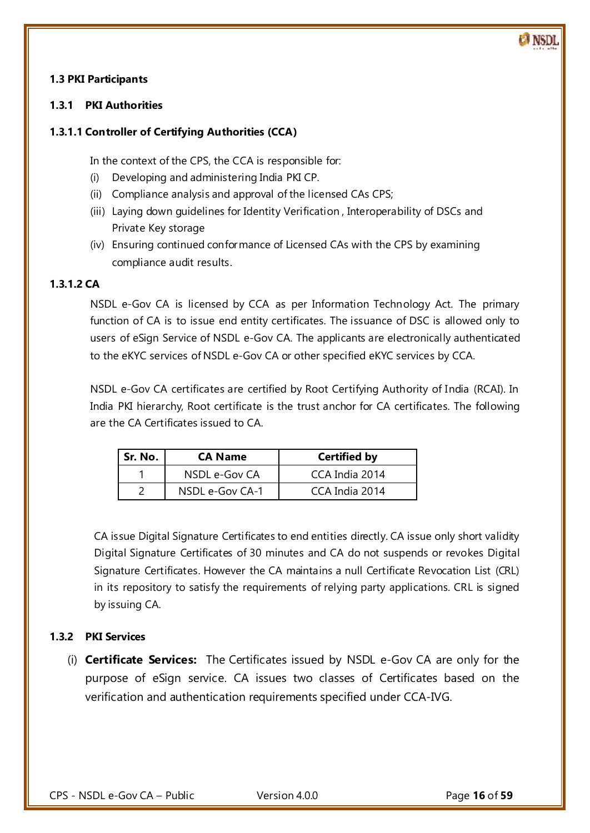

#### 1.3 PKI Participants

#### 1.3.1 PKI Authorities

#### 1.3.1.1 Controller of Certifying Authorities (CCA)

In the context of the CPS, the CCA is responsible for:

- (i) Developing and administering India PKI CP.
- (ii) Compliance analysis and approval of the licensed CAs CPS;
- (iii) Laying down guidelines for Identity Verification , Interoperability of DSCs and Private Key storage
- (iv) Ensuring continued conformance of Licensed CAs with the CPS by examining compliance audit results.

## 1.3.1.2 CA

NSDL e-Gov CA is licensed by CCA as per Information Technology Act. The primary function of CA is to issue end entity certificates. The issuance of DSC is allowed only to users of eSign Service of NSDL e-Gov CA. The applicants are electronically authenticated to the eKYC services of NSDL e-Gov CA or other specified eKYC services by CCA.

NSDL e-Gov CA certificates are certified by Root Certifying Authority of India (RCAI). In India PKI hierarchy, Root certificate is the trust anchor for CA certificates. The following are the CA Certificates issued to CA.

| Sr. No.<br><b>CA Name</b> |                 | <b>Certified by</b> |
|---------------------------|-----------------|---------------------|
|                           | NSDL e-Gov CA   | CCA India 2014      |
|                           | NSDL e-Gov CA-1 | CCA India 2014      |

CA issue Digital Signature Certificates to end entities directly. CA issue only short validity Digital Signature Certificates of 30 minutes and CA do not suspends or revokes Digital Signature Certificates. However the CA maintains a null Certificate Revocation List (CRL) in its repository to satisfy the requirements of relying party applications. CRL is signed by issuing CA.

# 1.3.2 PKI Services

(i) Certificate Services: The Certificates issued by NSDL e-Gov CA are only for the purpose of eSign service. CA issues two classes of Certificates based on the verification and authentication requirements specified under CCA-IVG.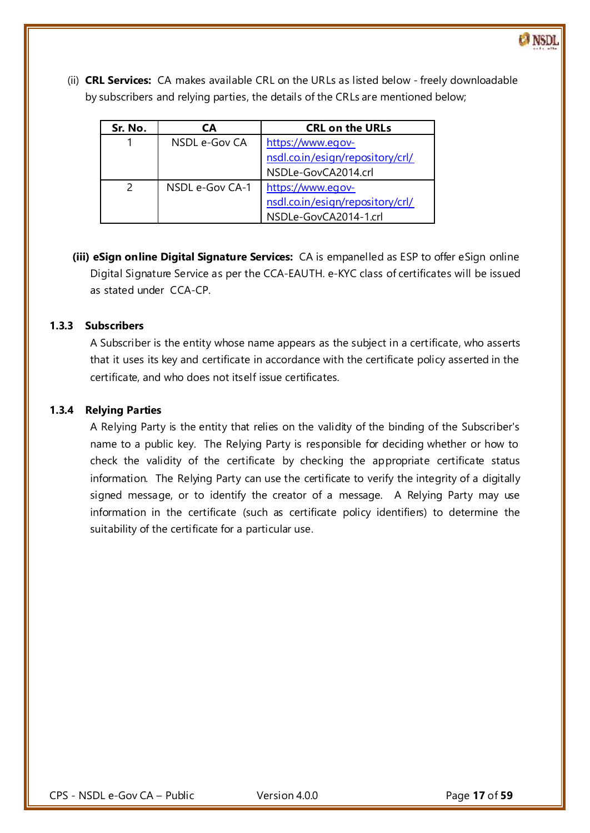(ii) CRL Services: CA makes available CRL on the URLs as listed below - freely downloadable by subscribers and relying parties, the details of the CRLs are mentioned below;

| Sr. No.       | CА              | <b>CRL on the URLs</b>           |
|---------------|-----------------|----------------------------------|
|               | NSDL e-Gov CA   | https://www.egov-                |
|               |                 | nsdl.co.in/esign/repository/crl/ |
|               |                 | NSDLe-GovCA2014.crl              |
| $\mathcal{P}$ | NSDL e-Gov CA-1 | https://www.egov-                |
|               |                 | nsdl.co.in/esign/repository/crl/ |
|               |                 | NSDLe-GovCA2014-1.crl            |

(iii) eSign online Digital Signature Services: CA is empanelled as ESP to offer eSign online Digital Signature Service as per the CCA-EAUTH. e-KYC class of certificates will be issued as stated under CCA-CP.

## 1.3.3 Subscribers

A Subscriber is the entity whose name appears as the subject in a certificate, who asserts that it uses its key and certificate in accordance with the certificate policy asserted in the certificate, and who does not itself issue certificates.

#### 1.3.4 Relying Parties

A Relying Party is the entity that relies on the validity of the binding of the Subscriber's name to a public key. The Relying Party is responsible for deciding whether or how to check the validity of the certificate by checking the appropriate certificate status information. The Relying Party can use the certificate to verify the integrity of a digitally signed message, or to identify the creator of a message. A Relying Party may use information in the certificate (such as certificate policy identifiers) to determine the suitability of the certificate for a particular use.

**MANSE**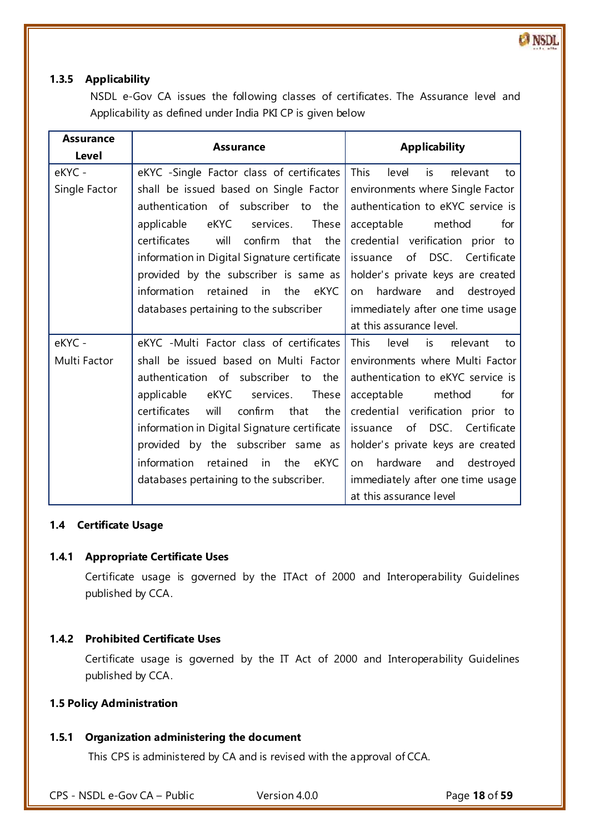

# 1.3.5 Applicability

NSDL e-Gov CA issues the following classes of certificates. The Assurance level and Applicability as defined under India PKI CP is given below

| <b>Assurance</b> | <b>Assurance</b>                               | <b>Applicability</b>                          |
|------------------|------------------------------------------------|-----------------------------------------------|
| <b>Level</b>     |                                                |                                               |
| eKYC -           | eKYC -Single Factor class of certificates      | <b>This</b><br>level<br>is.<br>relevant<br>to |
| Single Factor    | shall be issued based on Single Factor         | environments where Single Factor              |
|                  | authentication of subscriber to the            | authentication to eKYC service is             |
|                  | eKYC<br>applicable<br>services.<br>These       | acceptable<br>method<br>for                   |
|                  | certificates<br>will<br>confirm that<br>the    | credential verification prior to              |
|                  | information in Digital Signature certificate   | of DSC. Certificate<br>issuance               |
|                  | provided by the subscriber is same as          | holder's private keys are created             |
|                  | information<br>retained<br>the<br>eKYC<br>in.  | hardware<br>destroyed<br>and<br>on            |
|                  | databases pertaining to the subscriber         | immediately after one time usage              |
|                  |                                                | at this assurance level.                      |
| eKYC -           | eKYC -Multi Factor class of certificates       | <b>This</b><br>level<br>is.<br>relevant<br>to |
| Multi Factor     | shall be issued based on Multi Factor          | environments where Multi Factor               |
|                  | authentication of subscriber to the            | authentication to eKYC service is             |
|                  | eKYC<br>applicable<br>services.<br>These       | method<br>acceptable<br>for                   |
|                  | certificates<br>will<br>confirm<br>that<br>the | credential verification prior to              |
|                  | information in Digital Signature certificate   | of DSC. Certificate<br>issuance               |
|                  | provided by the subscriber same as             | holder's private keys are created             |
|                  | information<br>retained<br>the<br>eKYC<br>in   | hardware<br>and<br>destroyed<br>on            |
|                  | databases pertaining to the subscriber.        | immediately after one time usage              |
|                  |                                                | at this assurance level                       |

#### 1.4 Certificate Usage

#### 1.4.1 Appropriate Certificate Uses

Certificate usage is governed by the ITAct of 2000 and Interoperability Guidelines published by CCA.

# 1.4.2 Prohibited Certificate Uses

Certificate usage is governed by the IT Act of 2000 and Interoperability Guidelines published by CCA.

#### 1.5 Policy Administration

# 1.5.1 Organization administering the document

This CPS is administered by CA and is revised with the approval of CCA.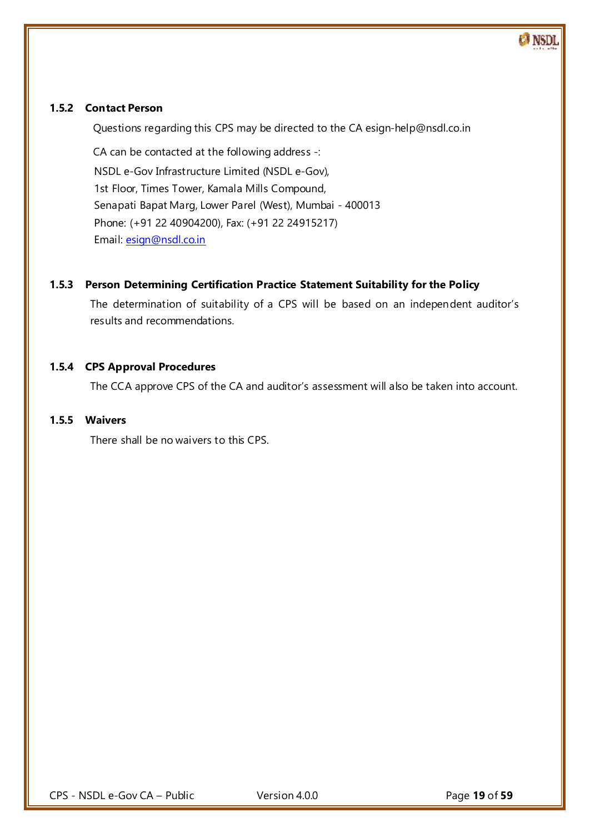#### 1.5.2 Contact Person

Questions regarding this CPS may be directed to the CA esign-help@nsdl.co.in

 CA can be contacted at the following address -: NSDL e-Gov Infrastructure Limited (NSDL e-Gov), 1st Floor, Times Tower, Kamala Mills Compound, Senapati Bapat Marg, Lower Parel (West), Mumbai - 400013 Phone: (+91 22 40904200), Fax: (+91 22 24915217) Email: esign@nsdl.co.in

#### 1.5.3 Person Determining Certification Practice Statement Suitability for the Policy

The determination of suitability of a CPS will be based on an independent auditor's results and recommendations.

#### 1.5.4 CPS Approval Procedures

The CCA approve CPS of the CA and auditor's assessment will also be taken into account.

#### 1.5.5 Waivers

There shall be no waivers to this CPS.

CPS - NSDL e-Gov CA – Public Version 4.0.0 Page 19 of 59

**EA NSD**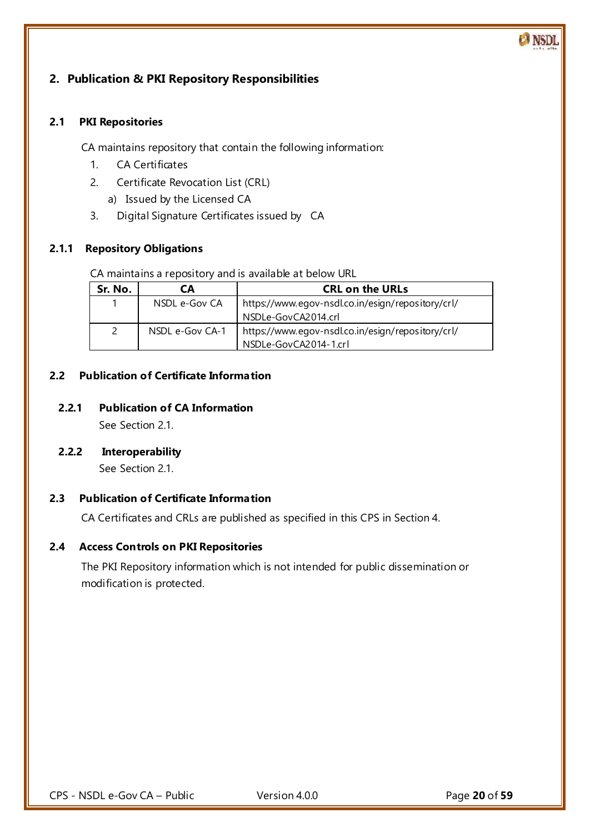# 2. Publication & PKI Repository Responsibilities

# 2.1 PKI Repositories

CA maintains repository that contain the following information:

- 1. CA Certificates
- 2. Certificate Revocation List (CRL)
	- a) Issued by the Licensed CA
- 3. Digital Signature Certificates issued by CA

#### 2.1.1 Repository Obligations

CA maintains a repository and is available at below URL

| Sr. No. | CА              | <b>CRL on the URLs</b>                            |
|---------|-----------------|---------------------------------------------------|
|         | NSDL e-Gov CA   | https://www.egov-nsdl.co.in/esign/repository/crl/ |
|         |                 | NSDLe-GovCA2014.crl                               |
|         | NSDL e-Gov CA-1 | https://www.egov-nsdl.co.in/esign/repository/crl/ |
|         |                 | NSDLe-GovCA2014-1.crl                             |

# 2.2 Publication of Certificate Information

#### 2.2.1 Publication of CA Information

See Section 2.1.

#### 2.2.2 Interoperability

See Section 2.1.

# 2.3 Publication of Certificate Information

CA Certificates and CRLs are published as specified in this CPS in Section 4.

#### 2.4 Access Controls on PKI Repositories

The PKI Repository information which is not intended for public dissemination or modification is protected.

**EA NSD**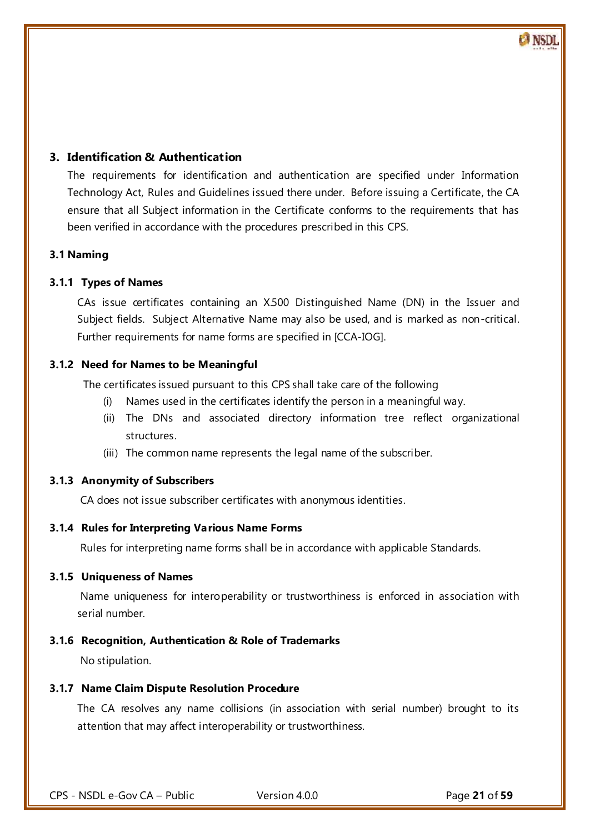# 3. Identification & Authentication

The requirements for identification and authentication are specified under Information Technology Act, Rules and Guidelines issued there under. Before issuing a Certificate, the CA ensure that all Subject information in the Certificate conforms to the requirements that has been verified in accordance with the procedures prescribed in this CPS.

# 3.1 Naming

# 3.1.1 Types of Names

CAs issue certificates containing an X.500 Distinguished Name (DN) in the Issuer and Subject fields. Subject Alternative Name may also be used, and is marked as non-critical. Further requirements for name forms are specified in [CCA-IOG].

# 3.1.2 Need for Names to be Meaningful

The certificates issued pursuant to this CPS shall take care of the following

- (i) Names used in the certificates identify the person in a meaningful way.
- (ii) The DNs and associated directory information tree reflect organizational structures.
- (iii) The common name represents the legal name of the subscriber.

#### 3.1.3 Anonymity of Subscribers

CA does not issue subscriber certificates with anonymous identities.

#### 3.1.4 Rules for Interpreting Various Name Forms

Rules for interpreting name forms shall be in accordance with applicable Standards.

#### 3.1.5 Uniqueness of Names

 Name uniqueness for interoperability or trustworthiness is enforced in association with serial number.

# 3.1.6 Recognition, Authentication & Role of Trademarks

No stipulation.

#### 3.1.7 Name Claim Dispute Resolution Procedure

The CA resolves any name collisions (in association with serial number) brought to its attention that may affect interoperability or trustworthiness.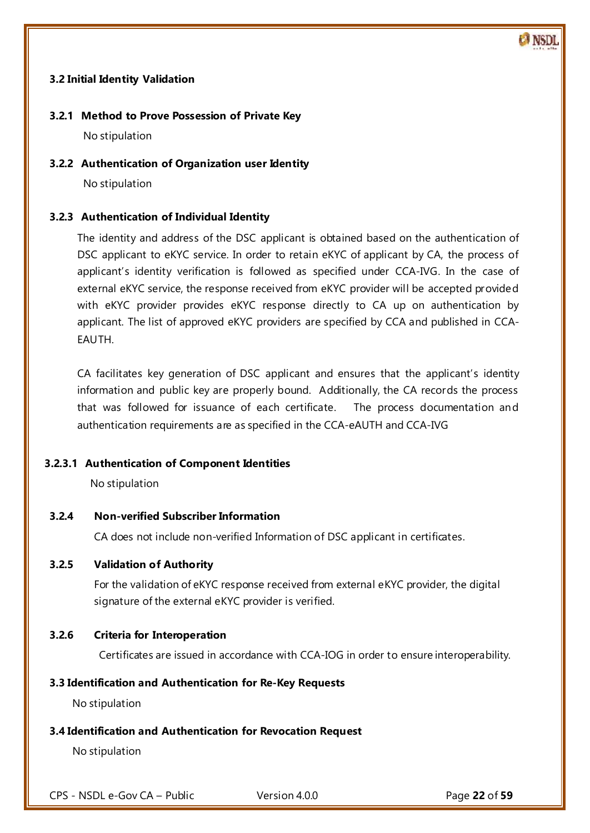

# 3.2 Initial Identity Validation

#### 3.2.1 Method to Prove Possession of Private Key

No stipulation

#### 3.2.2 Authentication of Organization user Identity

No stipulation

#### 3.2.3 Authentication of Individual Identity

The identity and address of the DSC applicant is obtained based on the authentication of DSC applicant to eKYC service. In order to retain eKYC of applicant by CA, the process of applicant's identity verification is followed as specified under CCA-IVG. In the case of external eKYC service, the response received from eKYC provider will be accepted provided with eKYC provider provides eKYC response directly to CA up on authentication by applicant. The list of approved eKYC providers are specified by CCA and published in CCA-EAUTH.

 authentication requirements are as specified in the CCA-eAUTH and CCA-IVG CA facilitates key generation of DSC applicant and ensures that the applicant's identity information and public key are properly bound. Additionally, the CA records the process that was followed for issuance of each certificate. The process documentation and

#### 3.2.3.1 Authentication of Component Identities

No stipulation

#### 3.2.4 Non-verified Subscriber Information

CA does not include non-verified Information of DSC applicant in certificates.

## 3.2.5 Validation of Authority

For the validation of eKYC response received from external eKYC provider, the digital signature of the external eKYC provider is verified.

#### 3.2.6 Criteria for Interoperation

Certificates are issued in accordance with CCA-IOG in order to ensure interoperability.

#### 3.3 Identification and Authentication for Re-Key Requests

No stipulation

#### 3.4 Identification and Authentication for Revocation Request

No stipulation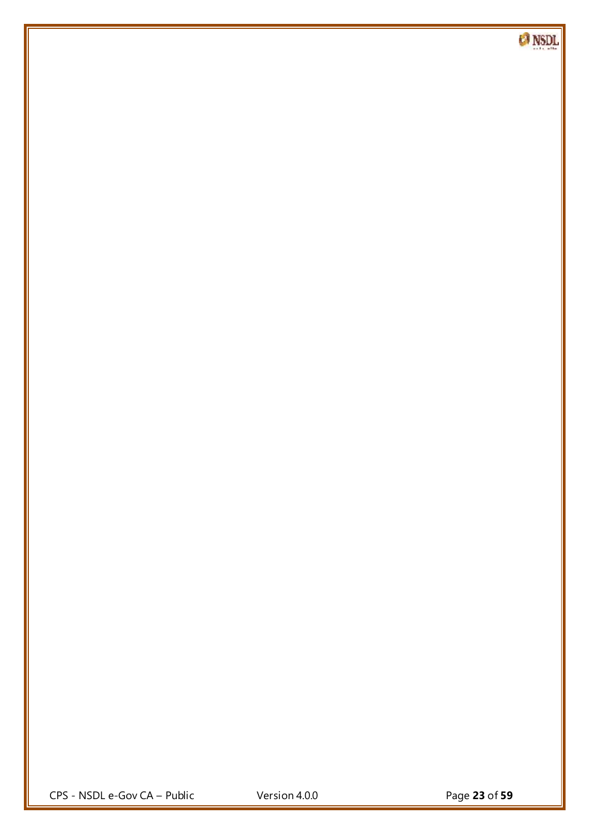

CPS - NSDL e-Gov CA – Public Version 4.0.0 Page 23 of 59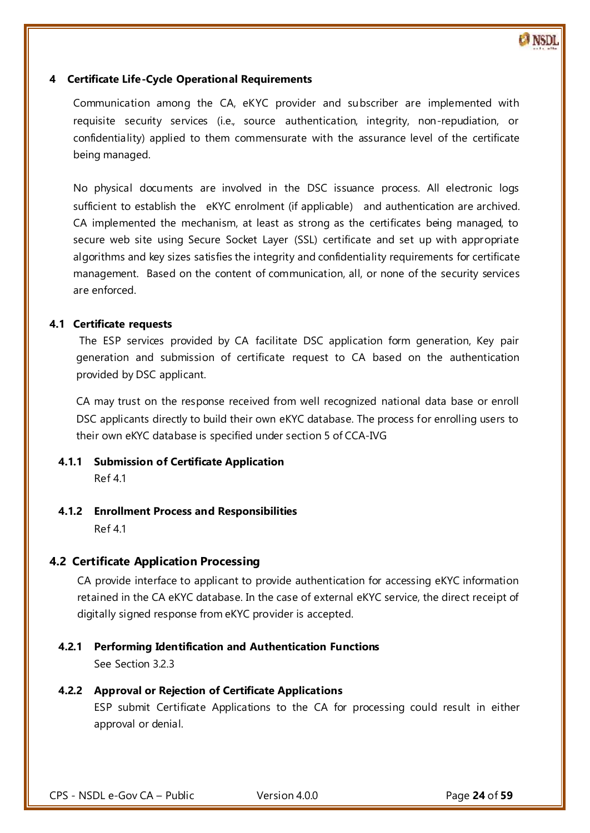

#### 4 Certificate Life-Cycle Operational Requirements

Communication among the CA, eKYC provider and subscriber are implemented with requisite security services (i.e., source authentication, integrity, non-repudiation, or confidentiality) applied to them commensurate with the assurance level of the certificate being managed.

No physical documents are involved in the DSC issuance process. All electronic logs sufficient to establish the eKYC enrolment (if applicable) and authentication are archived. CA implemented the mechanism, at least as strong as the certificates being managed, to secure web site using Secure Socket Layer (SSL) certificate and set up with appropriate algorithms and key sizes satisfies the integrity and confidentiality requirements for certificate management. Based on the content of communication, all, or none of the security services are enforced.

#### 4.1 Certificate requests

 The ESP services provided by CA facilitate DSC application form generation, Key pair generation and submission of certificate request to CA based on the authentication provided by DSC applicant.

 DSC applicants directly to build their own eKYC database. The process for enrolling users to CA may trust on the response received from well recognized national data base or enroll their own eKYC database is specified under section 5 of CCA-IVG

4.1.1 Submission of Certificate Application

Ref 4.1

#### 4.1.2 Enrollment Process and Responsibilities

Ref 4.1

#### 4.2 Certificate Application Processing

CA provide interface to applicant to provide authentication for accessing eKYC information retained in the CA eKYC database. In the case of external eKYC service, the direct receipt of digitally signed response from eKYC provider is accepted.

4.2.1 Performing Identification and Authentication Functions

See Section 3.2.3

#### 4.2.2 Approval or Rejection of Certificate Applications

ESP submit Certificate Applications to the CA for processing could result in either approval or denial.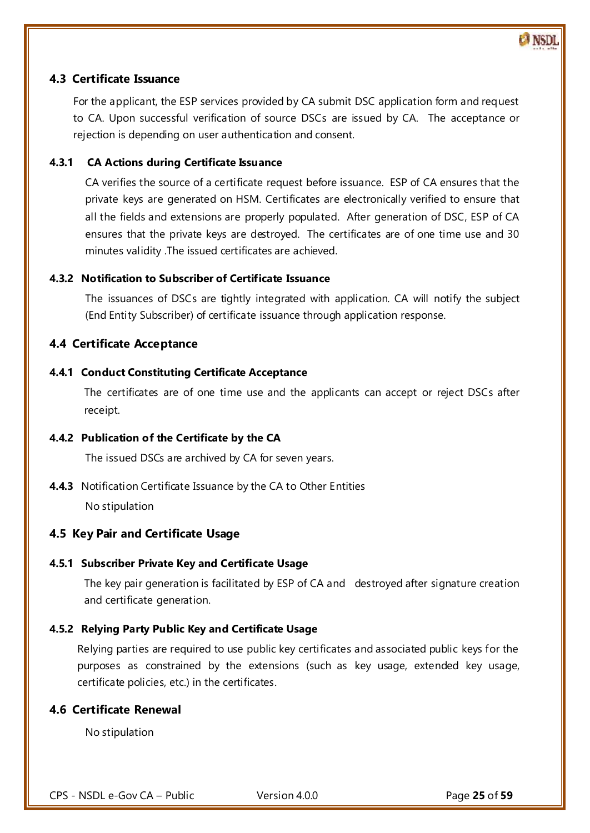

# 4.3 Certificate Issuance

For the applicant, the ESP services provided by CA submit DSC application form and request to CA. Upon successful verification of source DSCs are issued by CA. The acceptance or rejection is depending on user authentication and consent.

#### 4.3.1 CA Actions during Certificate Issuance

CA verifies the source of a certificate request before issuance. ESP of CA ensures that the private keys are generated on HSM. Certificates are electronically verified to ensure that all the fields and extensions are properly populated. After generation of DSC, ESP of CA ensures that the private keys are destroyed. The certificates are of one time use and 30 minutes validity .The issued certificates are achieved.

#### 4.3.2 Notification to Subscriber of Certificate Issuance

The issuances of DSCs are tightly integrated with application. CA will notify the subject (End Entity Subscriber) of certificate issuance through application response.

#### 4.4 Certificate Acceptance

#### 4.4.1 Conduct Constituting Certificate Acceptance

The certificates are of one time use and the applicants can accept or reject DSCs after receipt.

#### 4.4.2 Publication of the Certificate by the CA

The issued DSCs are archived by CA for seven years.

4.4.3 Notification Certificate Issuance by the CA to Other Entities

No stipulation

#### 4.5 Key Pair and Certificate Usage

#### 4.5.1 Subscriber Private Key and Certificate Usage

The key pair generation is facilitated by ESP of CA and destroyed after signature creation and certificate generation.

#### 4.5.2 Relying Party Public Key and Certificate Usage

Relying parties are required to use public key certificates and associated public keys for the purposes as constrained by the extensions (such as key usage, extended key usage, certificate policies, etc.) in the certificates.

# 4.6 Certificate Renewal

No stipulation

CPS - NSDL e-Gov CA – Public Version 4.0.0 Page 25 of 59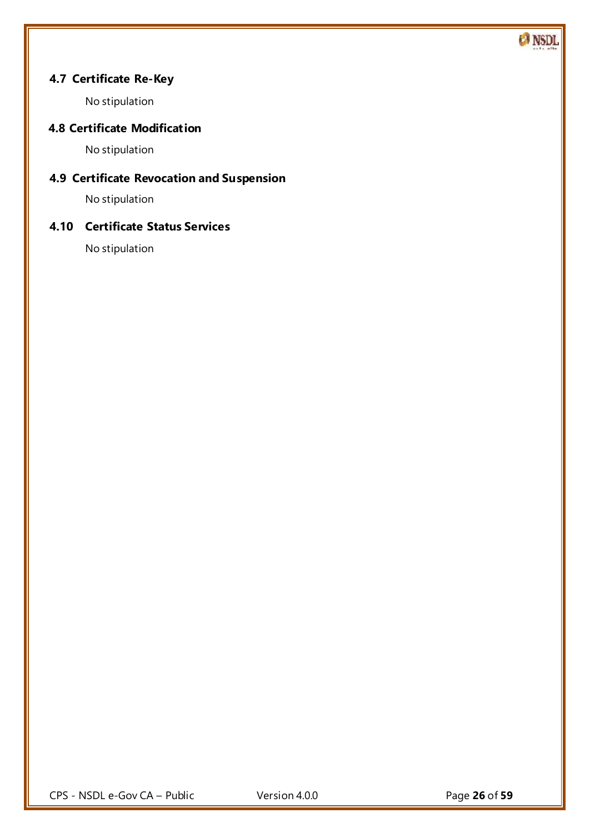# 4.7 Certificate Re-Key

No stipulation

# 4.8 Certificate Modification

No stipulation

# 4.9 Certificate Revocation and Suspension

No stipulation

# 4.10 Certificate Status Services

No stipulation

CPS - NSDL e-Gov CA – Public Version 4.0.0 Page 26 of 59

**CI NSDI**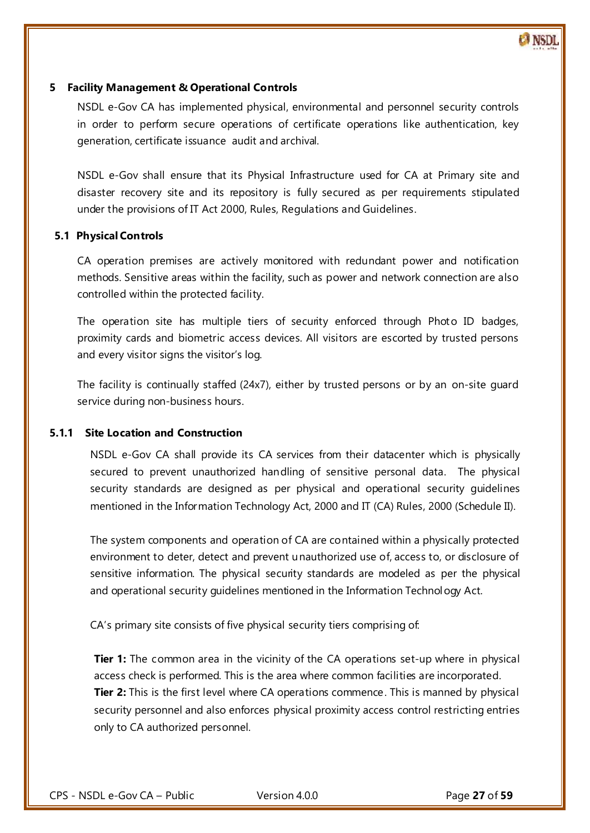#### 5 Facility Management & Operational Controls

NSDL e-Gov CA has implemented physical, environmental and personnel security controls in order to perform secure operations of certificate operations like authentication, key generation, certificate issuance audit and archival.

NSDL e-Gov shall ensure that its Physical Infrastructure used for CA at Primary site and disaster recovery site and its repository is fully secured as per requirements stipulated under the provisions of IT Act 2000, Rules, Regulations and Guidelines.

# 5.1 Physical Controls

CA operation premises are actively monitored with redundant power and notification methods. Sensitive areas within the facility, such as power and network connection are also controlled within the protected facility.

The operation site has multiple tiers of security enforced through Photo ID badges, proximity cards and biometric access devices. All visitors are escorted by trusted persons and every visitor signs the visitor's log.

The facility is continually staffed (24x7), either by trusted persons or by an on-site guard service during non-business hours.

# 5.1.1 Site Location and Construction

NSDL e-Gov CA shall provide its CA services from their datacenter which is physically secured to prevent unauthorized handling of sensitive personal data. The physical security standards are designed as per physical and operational security guidelines mentioned in the Information Technology Act, 2000 and IT (CA) Rules, 2000 (Schedule II).

The system components and operation of CA are contained within a physically protected environment to deter, detect and prevent unauthorized use of, access to, or disclosure of sensitive information. The physical security standards are modeled as per the physical and operational security guidelines mentioned in the Information Technology Act.

CA's primary site consists of five physical security tiers comprising of:

Tier 1: The common area in the vicinity of the CA operations set-up where in physical access check is performed. This is the area where common facilities are incorporated. **Tier 2:** This is the first level where CA operations commence. This is manned by physical security personnel and also enforces physical proximity access control restricting entries only to CA authorized personnel.

**CHNST**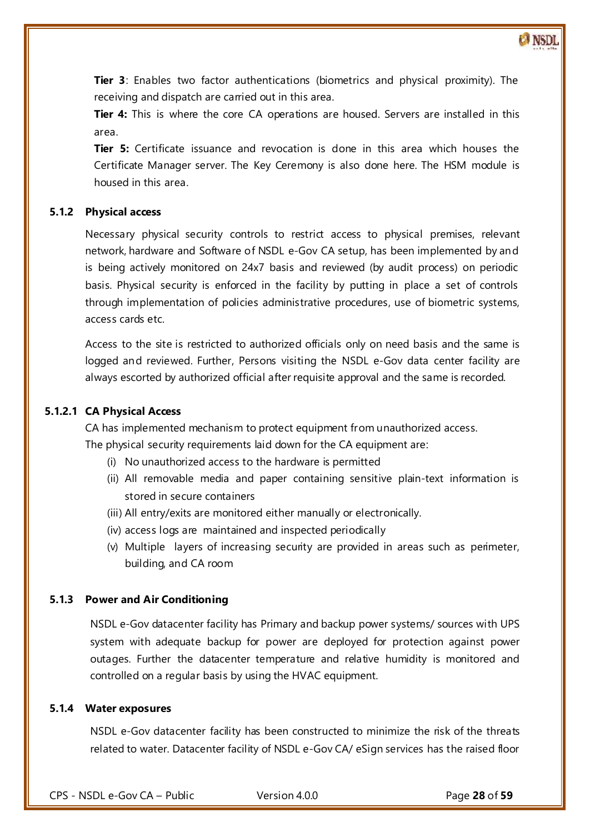

Tier 3: Enables two factor authentications (biometrics and physical proximity). The receiving and dispatch are carried out in this area.

**Tier 4:** This is where the core CA operations are housed. Servers are installed in this area.

Tier 5: Certificate issuance and revocation is done in this area which houses the Certificate Manager server. The Key Ceremony is also done here. The HSM module is housed in this area.

# 5.1.2 Physical access

Necessary physical security controls to restrict access to physical premises, relevant network, hardware and Software of NSDL e-Gov CA setup, has been implemented by and is being actively monitored on 24x7 basis and reviewed (by audit process) on periodic basis. Physical security is enforced in the facility by putting in place a set of controls through implementation of policies administrative procedures, use of biometric systems, access cards etc.

Access to the site is restricted to authorized officials only on need basis and the same is logged and reviewed. Further, Persons visiting the NSDL e-Gov data center facility are always escorted by authorized official after requisite approval and the same is recorded.

# 5.1.2.1 CA Physical Access

CA has implemented mechanism to protect equipment from unauthorized access. The physical security requirements laid down for the CA equipment are:

- (i) No unauthorized access to the hardware is permitted
- (ii) All removable media and paper containing sensitive plain-text information is stored in secure containers
- (iii) All entry/exits are monitored either manually or electronically.
- (iv) access logs are maintained and inspected periodically
- (v) Multiple layers of increasing security are provided in areas such as perimeter, building, and CA room

# 5.1.3 Power and Air Conditioning

NSDL e-Gov datacenter facility has Primary and backup power systems/ sources with UPS system with adequate backup for power are deployed for protection against power outages. Further the datacenter temperature and relative humidity is monitored and controlled on a regular basis by using the HVAC equipment.

## 5.1.4 Water exposures

NSDL e-Gov datacenter facility has been constructed to minimize the risk of the threats related to water. Datacenter facility of NSDL e-Gov CA/ eSign services has the raised floor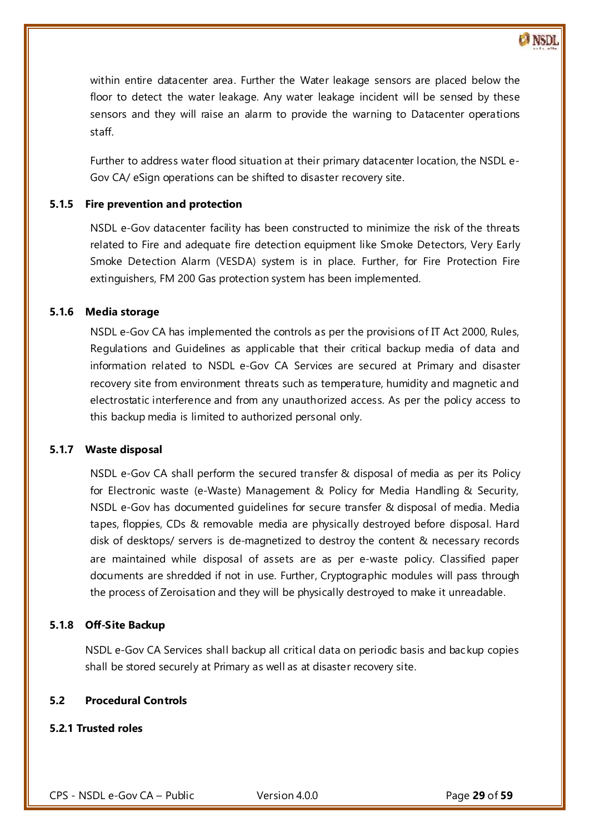

within entire datacenter area. Further the Water leakage sensors are placed below the floor to detect the water leakage. Any water leakage incident will be sensed by these sensors and they will raise an alarm to provide the warning to Datacenter operations staff.

Further to address water flood situation at their primary datacenter location, the NSDL e-Gov CA/ eSign operations can be shifted to disaster recovery site.

## 5.1.5 Fire prevention and protection

NSDL e-Gov datacenter facility has been constructed to minimize the risk of the threats related to Fire and adequate fire detection equipment like Smoke Detectors, Very Early Smoke Detection Alarm (VESDA) system is in place. Further, for Fire Protection Fire extinguishers, FM 200 Gas protection system has been implemented.

#### 5.1.6 Media storage

 this backup media is limited to authorized personal only. NSDL e-Gov CA has implemented the controls as per the provisions of IT Act 2000, Rules, Regulations and Guidelines as applicable that their critical backup media of data and information related to NSDL e-Gov CA Services are secured at Primary and disaster recovery site from environment threats such as temperature, humidity and magnetic and electrostatic interference and from any unauthorized access. As per the policy access to

#### 5.1.7 Waste disposal

NSDL e-Gov CA shall perform the secured transfer & disposal of media as per its Policy for Electronic waste (e-Waste) Management & Policy for Media Handling & Security, NSDL e-Gov has documented guidelines for secure transfer & disposal of media. Media tapes, floppies, CDs & removable media are physically destroyed before disposal. Hard disk of desktops/ servers is de-magnetized to destroy the content & necessary records are maintained while disposal of assets are as per e-waste policy. Classified paper documents are shredded if not in use. Further, Cryptographic modules will pass through the process of Zeroisation and they will be physically destroyed to make it unreadable.

#### 5.1.8 Off-Site Backup

NSDL e-Gov CA Services shall backup all critical data on periodic basis and backup copies shall be stored securely at Primary as well as at disaster recovery site.

## 5.2 Procedural Controls

#### 5.2.1 Trusted roles

CPS - NSDL e-Gov CA – Public Version 4.0.0 Page 29 of 59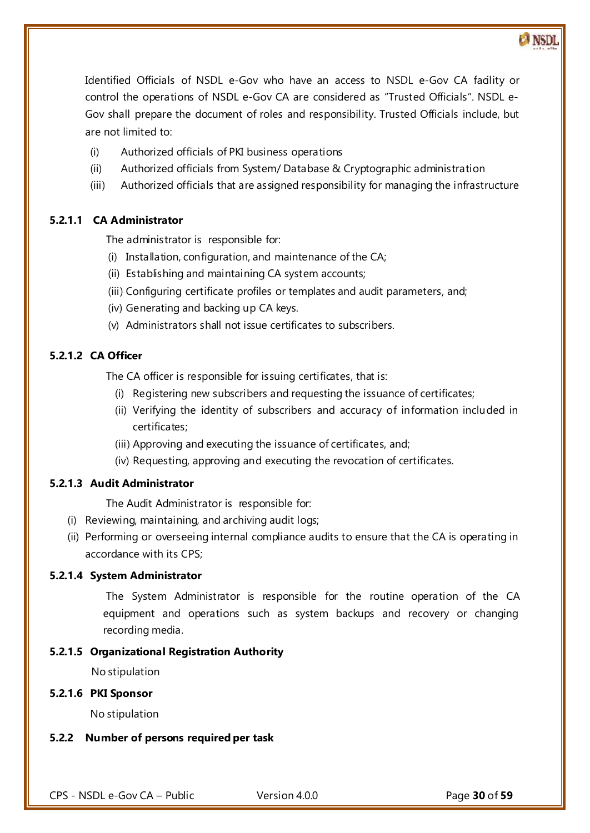Identified Officials of NSDL e-Gov who have an access to NSDL e-Gov CA facility or control the operations of NSDL e-Gov CA are considered as "Trusted Officials". NSDL e-Gov shall prepare the document of roles and responsibility. Trusted Officials include, but are not limited to:

- (i) Authorized officials of PKI business operations
- (ii) Authorized officials from System/ Database & Cryptographic administration
- (iii) Authorized officials that are assigned responsibility for managing the infrastructure

# 5.2.1.1 CA Administrator

The administrator is responsible for:

- (i) Installation, configuration, and maintenance of the CA;
- (ii) Establishing and maintaining CA system accounts;
- (iii) Configuring certificate profiles or templates and audit parameters, and;
- (iv) Generating and backing up CA keys.
- (v) Administrators shall not issue certificates to subscribers.

# 5.2.1.2 CA Officer

The CA officer is responsible for issuing certificates, that is:

- (i) Registering new subscribers and requesting the issuance of certificates;
- (ii) Verifying the identity of subscribers and accuracy of information included in certificates;
- (iii) Approving and executing the issuance of certificates, and;
- (iv) Requesting, approving and executing the revocation of certificates.

# 5.2.1.3 Audit Administrator

The Audit Administrator is responsible for:

- (i) Reviewing, maintaining, and archiving audit logs;
- (ii) Performing or overseeing internal compliance audits to ensure that the CA is operating in accordance with its CPS;

# 5.2.1.4 System Administrator

The System Administrator is responsible for the routine operation of the CA equipment and operations such as system backups and recovery or changing recording media.

# 5.2.1.5 Organizational Registration Authority

No stipulation

# 5.2.1.6 PKI Sponsor

No stipulation

# 5.2.2 Number of persons required per task

CPS - NSDL e-Gov CA – Public Version 4.0.0 Page 30 of 59

**CT NST**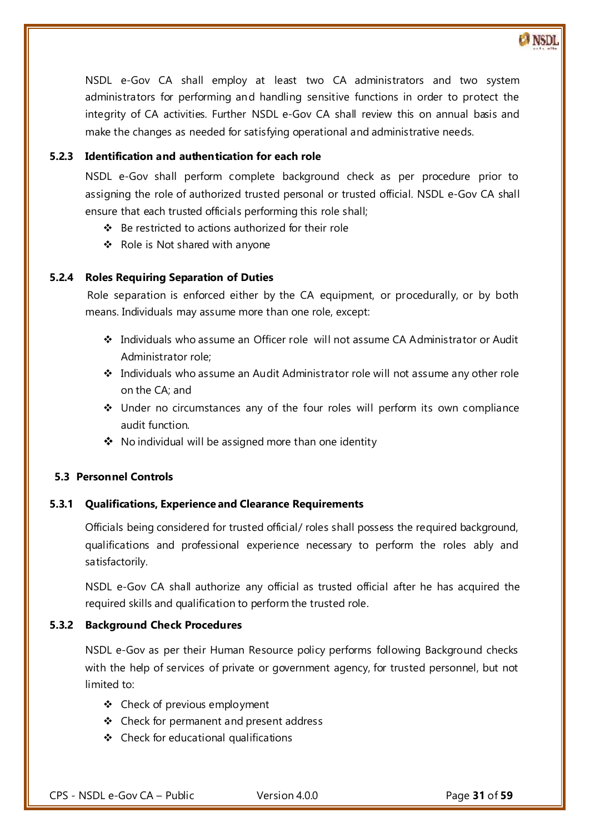NSDL e-Gov CA shall employ at least two CA administrators and two system administrators for performing and handling sensitive functions in order to protect the integrity of CA activities. Further NSDL e-Gov CA shall review this on annual basis and make the changes as needed for satisfying operational and administrative needs.

# 5.2.3 Identification and authentication for each role

NSDL e-Gov shall perform complete background check as per procedure prior to assigning the role of authorized trusted personal or trusted official. NSDL e-Gov CA shall ensure that each trusted officials performing this role shall;

- ❖ Be restricted to actions authorized for their role
- ❖ Role is Not shared with anyone

# 5.2.4 Roles Requiring Separation of Duties

Role separation is enforced either by the CA equipment, or procedurally, or by both means. Individuals may assume more than one role, except:

- Individuals who assume an Officer role will not assume CA Administrator or Audit Administrator role;
- Individuals who assume an Audit Administrator role will not assume any other role on the CA; and
- Under no circumstances any of the four roles will perform its own compliance audit function.
- $\triangle$  No individual will be assigned more than one identity

# 5.3 Personnel Controls

# 5.3.1 Qualifications, Experience and Clearance Requirements

Officials being considered for trusted official/ roles shall possess the required background, qualifications and professional experience necessary to perform the roles ably and satisfactorily.

NSDL e-Gov CA shall authorize any official as trusted official after he has acquired the required skills and qualification to perform the trusted role.

# 5.3.2 Background Check Procedures

NSDL e-Gov as per their Human Resource policy performs following Background checks with the help of services of private or government agency, for trusted personnel, but not limited to:

- Check of previous employment
- ❖ Check for permanent and present address
- $\div$  Check for educational qualifications

M NSD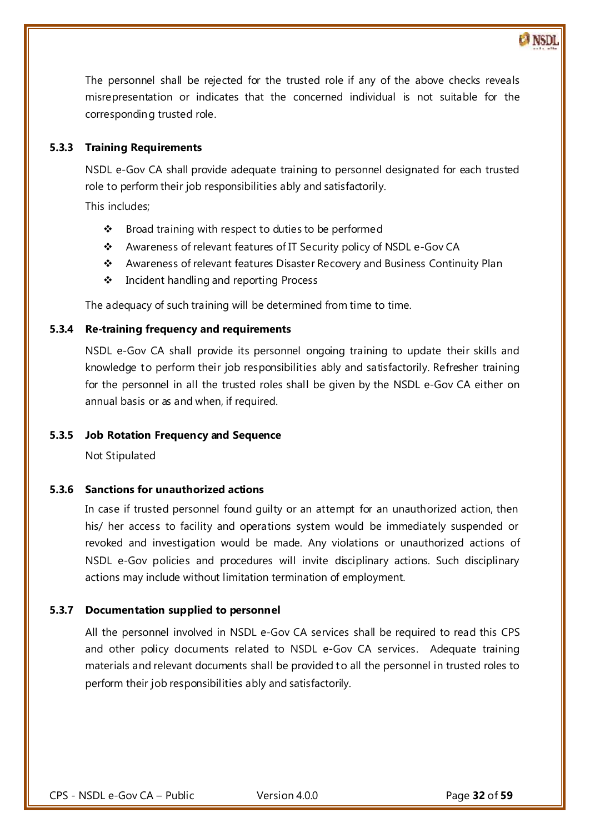The personnel shall be rejected for the trusted role if any of the above checks reveals misrepresentation or indicates that the concerned individual is not suitable for the corresponding trusted role.

# 5.3.3 Training Requirements

NSDL e-Gov CA shall provide adequate training to personnel designated for each trusted role to perform their job responsibilities ably and satisfactorily.

This includes;

- $\div$  Broad training with respect to duties to be performed
- Awareness of relevant features of IT Security policy of NSDL e-Gov CA
- Awareness of relevant features Disaster Recovery and Business Continuity Plan
- ❖ Incident handling and reporting Process

The adequacy of such training will be determined from time to time.

# 5.3.4 Re-training frequency and requirements

NSDL e-Gov CA shall provide its personnel ongoing training to update their skills and knowledge to perform their job responsibilities ably and satisfactorily. Refresher training for the personnel in all the trusted roles shall be given by the NSDL e-Gov CA either on annual basis or as and when, if required.

#### 5.3.5 Job Rotation Frequency and Sequence

Not Stipulated

# 5.3.6 Sanctions for unauthorized actions

In case if trusted personnel found guilty or an attempt for an unauthorized action, then his/ her access to facility and operations system would be immediately suspended or revoked and investigation would be made. Any violations or unauthorized actions of NSDL e-Gov policies and procedures will invite disciplinary actions. Such disciplinary actions may include without limitation termination of employment.

# 5.3.7 Documentation supplied to personnel

All the personnel involved in NSDL e-Gov CA services shall be required to read this CPS and other policy documents related to NSDL e-Gov CA services. Adequate training materials and relevant documents shall be provided to all the personnel in trusted roles to perform their job responsibilities ably and satisfactorily.

M NSD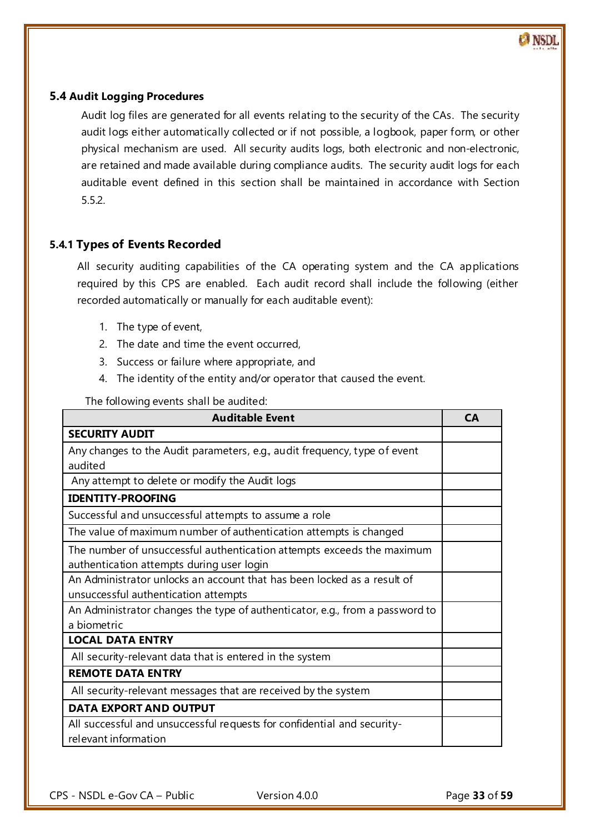

# 5.4 Audit Logging Procedures

Audit log files are generated for all events relating to the security of the CAs. The security audit logs either automatically collected or if not possible, a logbook, paper form, or other physical mechanism are used. All security audits logs, both electronic and non-electronic, are retained and made available during compliance audits. The security audit logs for each auditable event defined in this section shall be maintained in accordance with Section 5.5.2.

# 5.4.1 Types of Events Recorded

All security auditing capabilities of the CA operating system and the CA applications required by this CPS are enabled. Each audit record shall include the following (either recorded automatically or manually for each auditable event):

- 1. The type of event,
- 2. The date and time the event occurred,
- 3. Success or failure where appropriate, and
- 4. The identity of the entity and/or operator that caused the event.

The following events shall be audited:

| <b>Auditable Event</b>                                                       | <b>CA</b> |  |
|------------------------------------------------------------------------------|-----------|--|
| <b>SECURITY AUDIT</b>                                                        |           |  |
| Any changes to the Audit parameters, e.g., audit frequency, type of event    |           |  |
| audited                                                                      |           |  |
| Any attempt to delete or modify the Audit logs                               |           |  |
| <b>IDENTITY-PROOFING</b>                                                     |           |  |
| Successful and unsuccessful attempts to assume a role                        |           |  |
| The value of maximum number of authentication attempts is changed            |           |  |
| The number of unsuccessful authentication attempts exceeds the maximum       |           |  |
| authentication attempts during user login                                    |           |  |
| An Administrator unlocks an account that has been locked as a result of      |           |  |
| unsuccessful authentication attempts                                         |           |  |
| An Administrator changes the type of authenticator, e.g., from a password to |           |  |
| a biometric                                                                  |           |  |
| <b>LOCAL DATA ENTRY</b>                                                      |           |  |
| All security-relevant data that is entered in the system                     |           |  |
| <b>REMOTE DATA ENTRY</b>                                                     |           |  |
| All security-relevant messages that are received by the system               |           |  |
| <b>DATA EXPORT AND OUTPUT</b>                                                |           |  |
| All successful and unsuccessful requests for confidential and security-      |           |  |
| relevant information                                                         |           |  |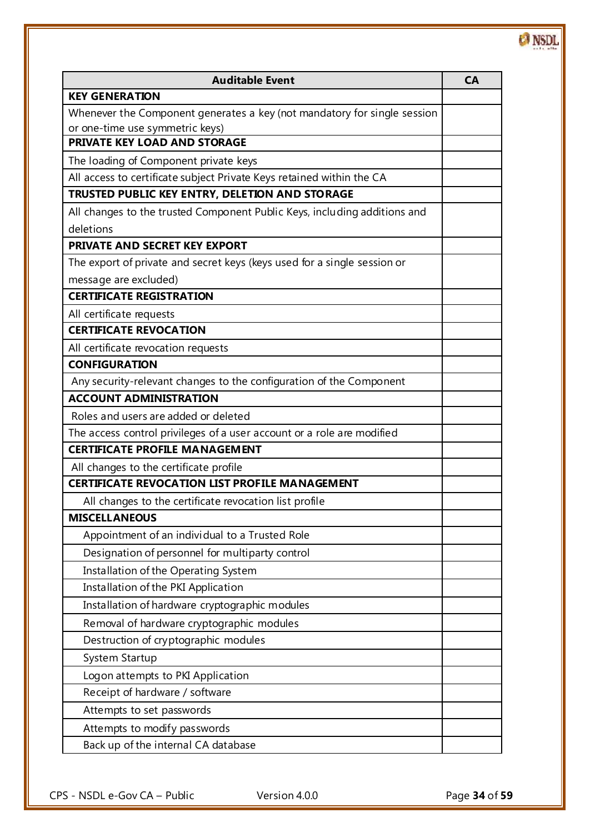| <b>Auditable Event</b>                                                    | <b>CA</b> |
|---------------------------------------------------------------------------|-----------|
| <b>KEY GENERATION</b>                                                     |           |
| Whenever the Component generates a key (not mandatory for single session  |           |
| or one-time use symmetric keys)                                           |           |
| <b>PRIVATE KEY LOAD AND STORAGE</b>                                       |           |
| The loading of Component private keys                                     |           |
| All access to certificate subject Private Keys retained within the CA     |           |
| TRUSTED PUBLIC KEY ENTRY, DELETION AND STORAGE                            |           |
| All changes to the trusted Component Public Keys, including additions and |           |
| deletions                                                                 |           |
| <b>PRIVATE AND SECRET KEY EXPORT</b>                                      |           |
| The export of private and secret keys (keys used for a single session or  |           |
| message are excluded)                                                     |           |
| <b>CERTIFICATE REGISTRATION</b>                                           |           |
| All certificate requests                                                  |           |
| <b>CERTIFICATE REVOCATION</b>                                             |           |
| All certificate revocation requests                                       |           |
| <b>CONFIGURATION</b>                                                      |           |
| Any security-relevant changes to the configuration of the Component       |           |
| <b>ACCOUNT ADMINISTRATION</b>                                             |           |
| Roles and users are added or deleted                                      |           |
| The access control privileges of a user account or a role are modified    |           |
| <b>CERTIFICATE PROFILE MANAGEMENT</b>                                     |           |
| All changes to the certificate profile                                    |           |
| <b>CERTIFICATE REVOCATION LIST PROFILE MANAGEMENT</b>                     |           |
| All changes to the certificate revocation list profile                    |           |
| <b>MISCELLANEOUS</b>                                                      |           |
| Appointment of an individual to a Trusted Role                            |           |
| Designation of personnel for multiparty control                           |           |
| Installation of the Operating System                                      |           |
| Installation of the PKI Application                                       |           |
| Installation of hardware cryptographic modules                            |           |
| Removal of hardware cryptographic modules                                 |           |
| Destruction of cryptographic modules                                      |           |
| System Startup                                                            |           |
| Logon attempts to PKI Application                                         |           |
| Receipt of hardware / software                                            |           |
| Attempts to set passwords                                                 |           |
|                                                                           |           |
| Attempts to modify passwords                                              |           |

**C** NSDI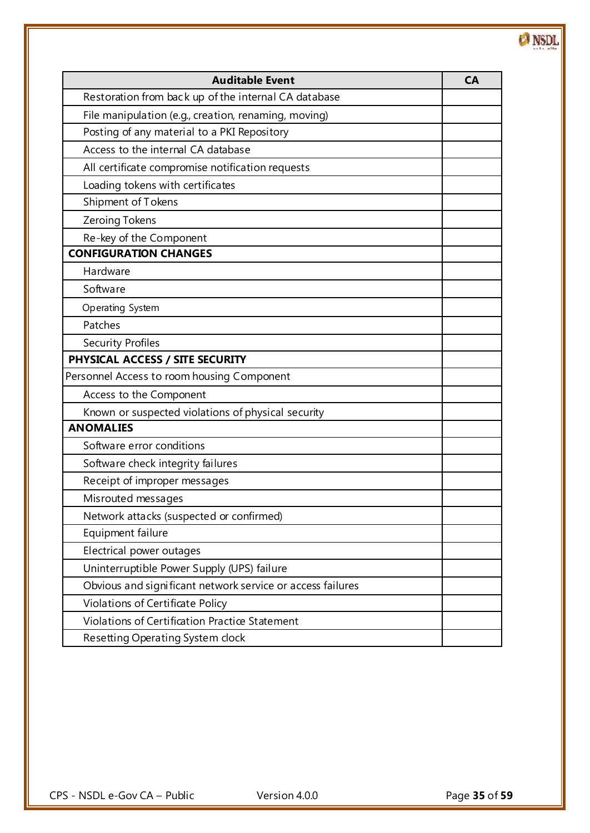| <b>Auditable Event</b>                                     | <b>CA</b> |
|------------------------------------------------------------|-----------|
| Restoration from back up of the internal CA database       |           |
| File manipulation (e.g., creation, renaming, moving)       |           |
| Posting of any material to a PKI Repository                |           |
| Access to the internal CA database                         |           |
| All certificate compromise notification requests           |           |
| Loading tokens with certificates                           |           |
| Shipment of Tokens                                         |           |
| <b>Zeroing Tokens</b>                                      |           |
| Re-key of the Component                                    |           |
| <b>CONFIGURATION CHANGES</b>                               |           |
| Hardware                                                   |           |
| Software                                                   |           |
| Operating System                                           |           |
| Patches                                                    |           |
| <b>Security Profiles</b>                                   |           |
| PHYSICAL ACCESS / SITE SECURITY                            |           |
| Personnel Access to room housing Component                 |           |
| Access to the Component                                    |           |
| Known or suspected violations of physical security         |           |
| <b>ANOMALIES</b>                                           |           |
| Software error conditions                                  |           |
| Software check integrity failures                          |           |
| Receipt of improper messages                               |           |
| Misrouted messages                                         |           |
| Network attacks (suspected or confirmed)                   |           |
| Equipment failure                                          |           |
| Electrical power outages                                   |           |
| Uninterruptible Power Supply (UPS) failure                 |           |
| Obvious and significant network service or access failures |           |
| Violations of Certificate Policy                           |           |
| Violations of Certification Practice Statement             |           |
| Resetting Operating System clock                           |           |

**C** NSDI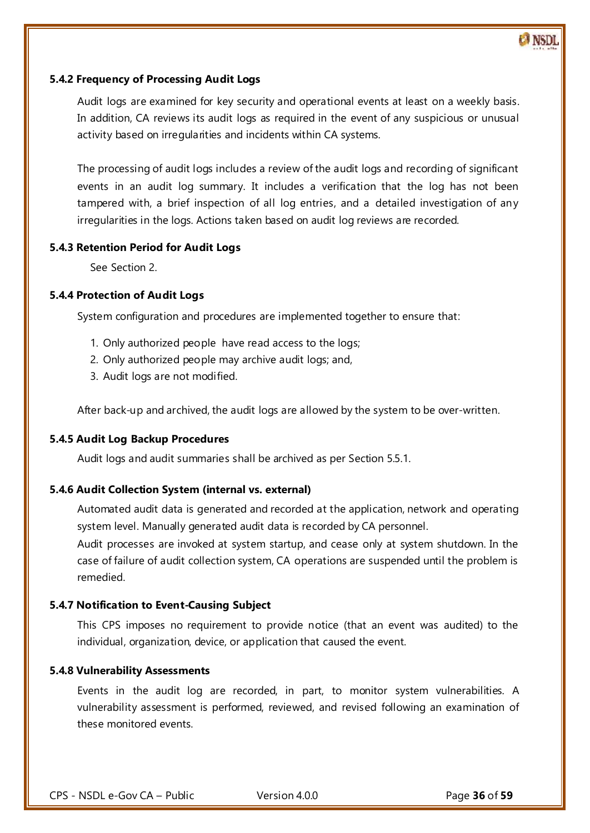

## 5.4.2 Frequency of Processing Audit Logs

Audit logs are examined for key security and operational events at least on a weekly basis. In addition, CA reviews its audit logs as required in the event of any suspicious or unusual activity based on irregularities and incidents within CA systems.

The processing of audit logs includes a review of the audit logs and recording of significant events in an audit log summary. It includes a verification that the log has not been tampered with, a brief inspection of all log entries, and a detailed investigation of any irregularities in the logs. Actions taken based on audit log reviews are recorded.

#### 5.4.3 Retention Period for Audit Logs

See Section 2.

#### 5.4.4 Protection of Audit Logs

System configuration and procedures are implemented together to ensure that:

- 1. Only authorized people have read access to the logs;
- 2. Only authorized people may archive audit logs; and,
- 3. Audit logs are not modified.

After back-up and archived, the audit logs are allowed by the system to be over-written.

#### 5.4.5 Audit Log Backup Procedures

Audit logs and audit summaries shall be archived as per Section 5.5.1.

#### 5.4.6 Audit Collection System (internal vs. external)

Automated audit data is generated and recorded at the application, network and operating system level. Manually generated audit data is recorded by CA personnel.

Audit processes are invoked at system startup, and cease only at system shutdown. In the case of failure of audit collection system, CA operations are suspended until the problem is remedied.

#### 5.4.7 Notification to Event-Causing Subject

This CPS imposes no requirement to provide notice (that an event was audited) to the individual, organization, device, or application that caused the event.

#### 5.4.8 Vulnerability Assessments

Events in the audit log are recorded, in part, to monitor system vulnerabilities. A vulnerability assessment is performed, reviewed, and revised following an examination of these monitored events.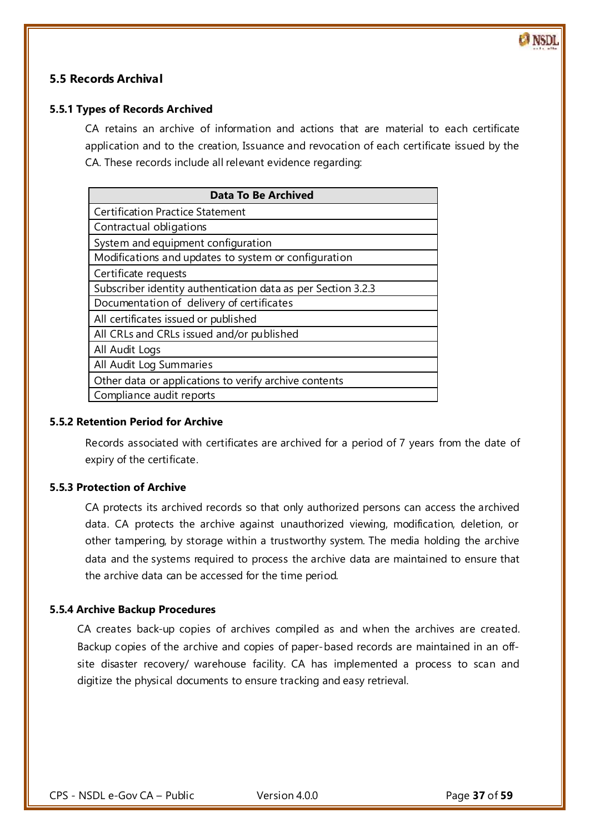# 5.5 Records Archival

# 5.5.1 Types of Records Archived

CA retains an archive of information and actions that are material to each certificate application and to the creation, Issuance and revocation of each certificate issued by the CA. These records include all relevant evidence regarding:

| <b>Data To Be Archived</b>                                   |  |  |
|--------------------------------------------------------------|--|--|
| <b>Certification Practice Statement</b>                      |  |  |
| Contractual obligations                                      |  |  |
| System and equipment configuration                           |  |  |
| Modifications and updates to system or configuration         |  |  |
| Certificate requests                                         |  |  |
| Subscriber identity authentication data as per Section 3.2.3 |  |  |
| Documentation of delivery of certificates                    |  |  |
| All certificates issued or published                         |  |  |
| All CRLs and CRLs issued and/or published                    |  |  |
| All Audit Logs                                               |  |  |
| All Audit Log Summaries                                      |  |  |
| Other data or applications to verify archive contents        |  |  |
| Compliance audit reports                                     |  |  |

#### 5.5.2 Retention Period for Archive

Records associated with certificates are archived for a period of 7 years from the date of expiry of the certificate.

## 5.5.3 Protection of Archive

CA protects its archived records so that only authorized persons can access the archived data. CA protects the archive against unauthorized viewing, modification, deletion, or other tampering, by storage within a trustworthy system. The media holding the archive data and the systems required to process the archive data are maintained to ensure that the archive data can be accessed for the time period.

#### 5.5.4 Archive Backup Procedures

CA creates back-up copies of archives compiled as and when the archives are created. Backup copies of the archive and copies of paper-based records are maintained in an offsite disaster recovery/ warehouse facility. CA has implemented a process to scan and digitize the physical documents to ensure tracking and easy retrieval.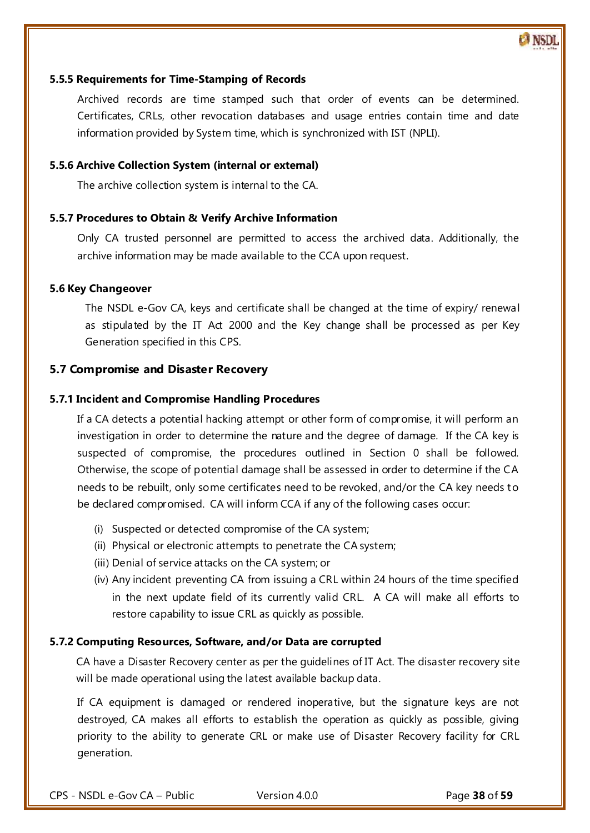

#### 5.5.5 Requirements for Time-Stamping of Records

Archived records are time stamped such that order of events can be determined. Certificates, CRLs, other revocation databases and usage entries contain time and date information provided by System time, which is synchronized with IST (NPLI).

#### 5.5.6 Archive Collection System (internal or external)

The archive collection system is internal to the CA.

#### 5.5.7 Procedures to Obtain & Verify Archive Information

Only CA trusted personnel are permitted to access the archived data. Additionally, the archive information may be made available to the CCA upon request.

#### 5.6 Key Changeover

The NSDL e-Gov CA, keys and certificate shall be changed at the time of expiry/ renewal as stipulated by the IT Act 2000 and the Key change shall be processed as per Key Generation specified in this CPS.

#### 5.7 Compromise and Disaster Recovery

#### 5.7.1 Incident and Compromise Handling Procedures

 If a CA detects a potential hacking attempt or other form of compromise, it will perform an investigation in order to determine the nature and the degree of damage. If the CA key is suspected of compromise, the procedures outlined in Section 0 shall be followed. Otherwise, the scope of potential damage shall be assessed in order to determine if the CA needs to be rebuilt, only some certificates need to be revoked, and/or the CA key needs to be declared compromised. CA will inform CCA if any of the following cases occur:

- (i) Suspected or detected compromise of the CA system;
- (ii) Physical or electronic attempts to penetrate the CA system;
- (iii) Denial of service attacks on the CA system; or
- (iv) Any incident preventing CA from issuing a CRL within 24 hours of the time specified in the next update field of its currently valid CRL. A CA will make all efforts to restore capability to issue CRL as quickly as possible.

#### 5.7.2 Computing Resources, Software, and/or Data are corrupted

CA have a Disaster Recovery center as per the guidelines of IT Act. The disaster recovery site will be made operational using the latest available backup data.

If CA equipment is damaged or rendered inoperative, but the signature keys are not destroyed, CA makes all efforts to establish the operation as quickly as possible, giving priority to the ability to generate CRL or make use of Disaster Recovery facility for CRL generation.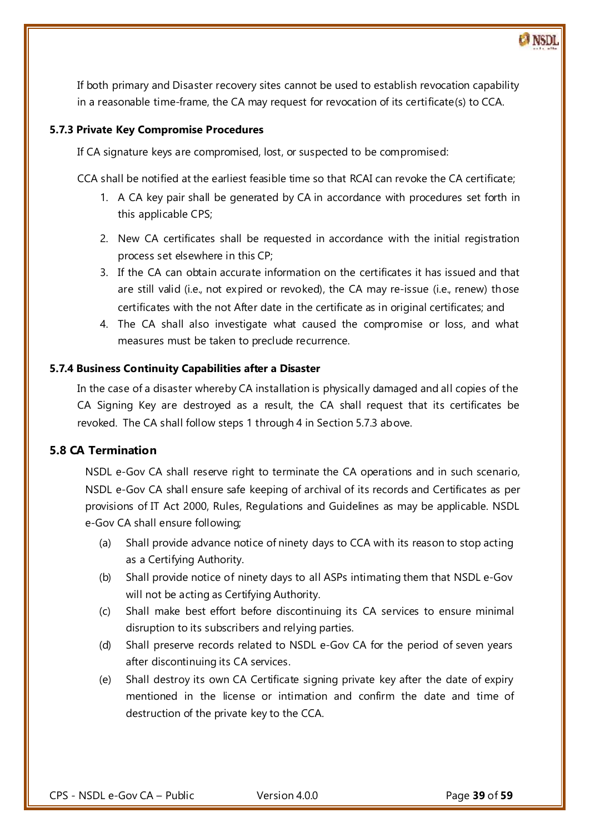

#### 5.7.3 Private Key Compromise Procedures

If CA signature keys are compromised, lost, or suspected to be compromised:

CCA shall be notified at the earliest feasible time so that RCAI can revoke the CA certificate;

- 1. A CA key pair shall be generated by CA in accordance with procedures set forth in this applicable CPS;
- 2. New CA certificates shall be requested in accordance with the initial registration process set elsewhere in this CP;
- 3. If the CA can obtain accurate information on the certificates it has issued and that are still valid (i.e., not expired or revoked), the CA may re-issue (i.e., renew) those certificates with the not After date in the certificate as in original certificates; and
- 4. The CA shall also investigate what caused the compromise or loss, and what measures must be taken to preclude recurrence.

# 5.7.4 Business Continuity Capabilities after a Disaster

 revoked. The CA shall follow steps 1 through 4 in Section 5.7.3 above. In the case of a disaster whereby CA installation is physically damaged and all copies of the CA Signing Key are destroyed as a result, the CA shall request that its certificates be

# 5.8 CA Termination

NSDL e-Gov CA shall reserve right to terminate the CA operations and in such scenario, NSDL e-Gov CA shall ensure safe keeping of archival of its records and Certificates as per provisions of IT Act 2000, Rules, Regulations and Guidelines as may be applicable. NSDL e-Gov CA shall ensure following;

- (a) Shall provide advance notice of ninety days to CCA with its reason to stop acting as a Certifying Authority.
- (b) Shall provide notice of ninety days to all ASPs intimating them that NSDL e-Gov will not be acting as Certifying Authority.
- (c) Shall make best effort before discontinuing its CA services to ensure minimal disruption to its subscribers and relying parties.
- (d) Shall preserve records related to NSDL e-Gov CA for the period of seven years after discontinuing its CA services.
- (e) Shall destroy its own CA Certificate signing private key after the date of expiry mentioned in the license or intimation and confirm the date and time of destruction of the private key to the CCA.

M NSD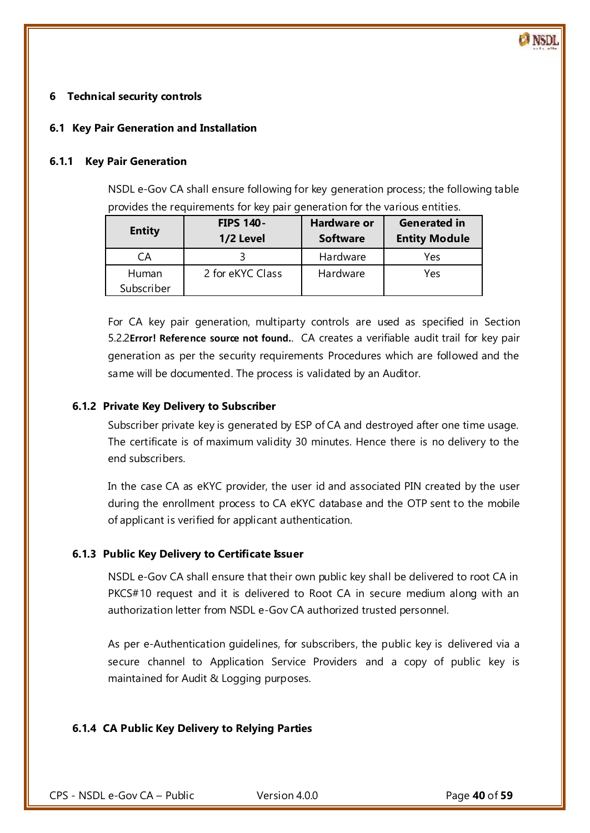#### 6 Technical security controls

#### 6.1 Key Pair Generation and Installation

#### 6.1.1 Key Pair Generation

NSDL e-Gov CA shall ensure following for key generation process; the following table provides the requirements for key pair generation for the various entities.

| <b>Entity</b>              | <b>FIPS 140-</b><br>1/2 Level | <b>Hardware or</b><br><b>Software</b> | <b>Generated in</b><br><b>Entity Module</b> |
|----------------------------|-------------------------------|---------------------------------------|---------------------------------------------|
| CΑ                         |                               | Hardware                              | Yes                                         |
| <b>Human</b><br>Subscriber | 2 for eKYC Class              | Hardware                              | Yes                                         |

For CA key pair generation, multiparty controls are used as specified in Section 5.2.2Error! Reference source not found.. CA creates a verifiable audit trail for key pair generation as per the security requirements Procedures which are followed and the same will be documented. The process is validated by an Auditor.

#### 6.1.2 Private Key Delivery to Subscriber

 Subscriber private key is generated by ESP of CA and destroyed after one time usage. The certificate is of maximum validity 30 minutes. Hence there is no delivery to the end subscribers.

In the case CA as eKYC provider, the user id and associated PIN created by the user during the enrollment process to CA eKYC database and the OTP sent to the mobile of applicant is verified for applicant authentication.

#### 6.1.3 Public Key Delivery to Certificate Issuer

NSDL e-Gov CA shall ensure that their own public key shall be delivered to root CA in PKCS#10 request and it is delivered to Root CA in secure medium along with an authorization letter from NSDL e-Gov CA authorized trusted personnel.

As per e-Authentication guidelines, for subscribers, the public key is delivered via a secure channel to Application Service Providers and a copy of public key is maintained for Audit & Logging purposes.

#### 6.1.4 CA Public Key Delivery to Relying Parties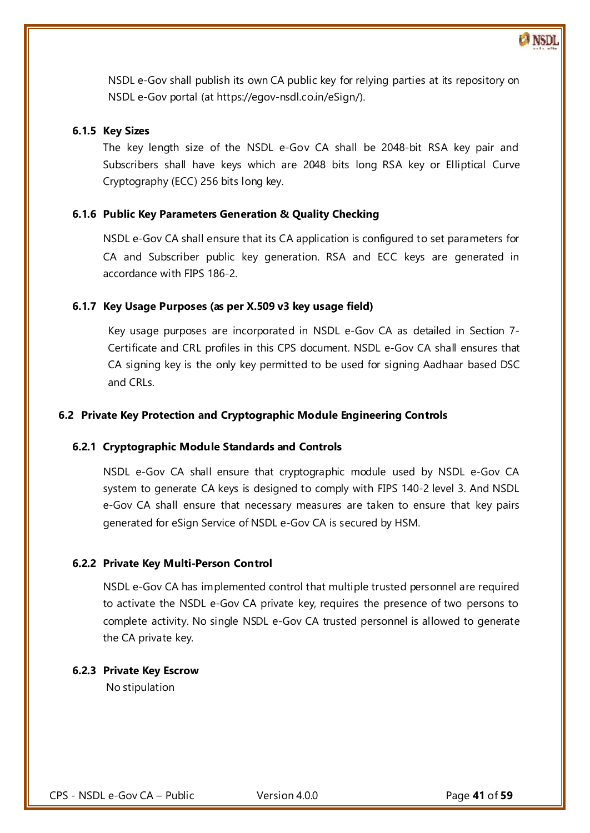

NSDL e-Gov shall publish its own CA public key for relying parties at its repository on NSDL e-Gov portal (at https://egov-nsdl.co.in/eSign/).

# 6.1.5 Key Sizes

The key length size of the NSDL e-Gov CA shall be 2048-bit RSA key pair and Subscribers shall have keys which are 2048 bits long RSA key or Elliptical Curve Cryptography (ECC) 256 bits long key.

# 6.1.6 Public Key Parameters Generation & Quality Checking

NSDL e-Gov CA shall ensure that its CA application is configured to set parameters for CA and Subscriber public key generation. RSA and ECC keys are generated in accordance with FIPS 186-2.

# 6.1.7 Key Usage Purposes (as per X.509 v3 key usage field)

Key usage purposes are incorporated in NSDL e-Gov CA as detailed in Section 7- Certificate and CRL profiles in this CPS document. NSDL e-Gov CA shall ensures that CA signing key is the only key permitted to be used for signing Aadhaar based DSC and CRLs.

# 6.2 Private Key Protection and Cryptographic Module Engineering Controls

#### 6.2.1 Cryptographic Module Standards and Controls

NSDL e-Gov CA shall ensure that cryptographic module used by NSDL e-Gov CA system to generate CA keys is designed to comply with FIPS 140-2 level 3. And NSDL e-Gov CA shall ensure that necessary measures are taken to ensure that key pairs generated for eSign Service of NSDL e-Gov CA is secured by HSM.

#### 6.2.2 Private Key Multi-Person Control

NSDL e-Gov CA has implemented control that multiple trusted personnel are required to activate the NSDL e-Gov CA private key, requires the presence of two persons to complete activity. No single NSDL e-Gov CA trusted personnel is allowed to generate the CA private key.

#### 6.2.3 Private Key Escrow

No stipulation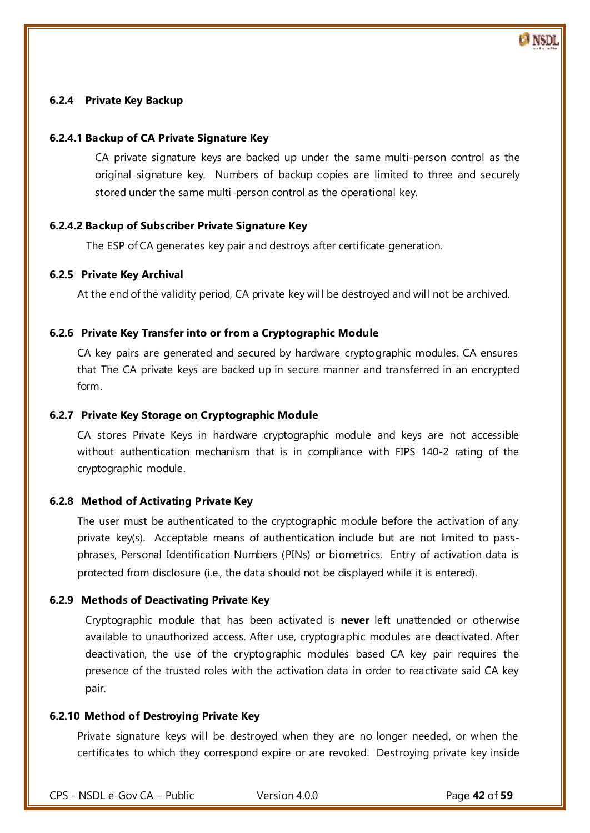# 6.2.4 Private Key Backup

# 6.2.4.1 Backup of CA Private Signature Key

CA private signature keys are backed up under the same multi-person control as the original signature key. Numbers of backup copies are limited to three and securely stored under the same multi-person control as the operational key.

#### 6.2.4.2 Backup of Subscriber Private Signature Key

The ESP of CA generates key pair and destroys after certificate generation.

#### 6.2.5 Private Key Archival

At the end of the validity period, CA private key will be destroyed and will not be archived.

# 6.2.6 Private Key Transfer into or from a Cryptographic Module

CA key pairs are generated and secured by hardware cryptographic modules. CA ensures that The CA private keys are backed up in secure manner and transferred in an encrypted form.

#### 6.2.7 Private Key Storage on Cryptographic Module

CA stores Private Keys in hardware cryptographic module and keys are not accessible without authentication mechanism that is in compliance with FIPS 140-2 rating of the cryptographic module.

#### 6.2.8 Method of Activating Private Key

The user must be authenticated to the cryptographic module before the activation of any private key(s). Acceptable means of authentication include but are not limited to passphrases, Personal Identification Numbers (PINs) or biometrics. Entry of activation data is protected from disclosure (i.e., the data should not be displayed while it is entered).

#### 6.2.9 Methods of Deactivating Private Key

Cryptographic module that has been activated is never left unattended or otherwise available to unauthorized access. After use, cryptographic modules are deactivated. After deactivation, the use of the cryptographic modules based CA key pair requires the presence of the trusted roles with the activation data in order to reactivate said CA key pair.

#### 6.2.10 Method of Destroying Private Key

Private signature keys will be destroyed when they are no longer needed, or when the certificates to which they correspond expire or are revoked. Destroying private key inside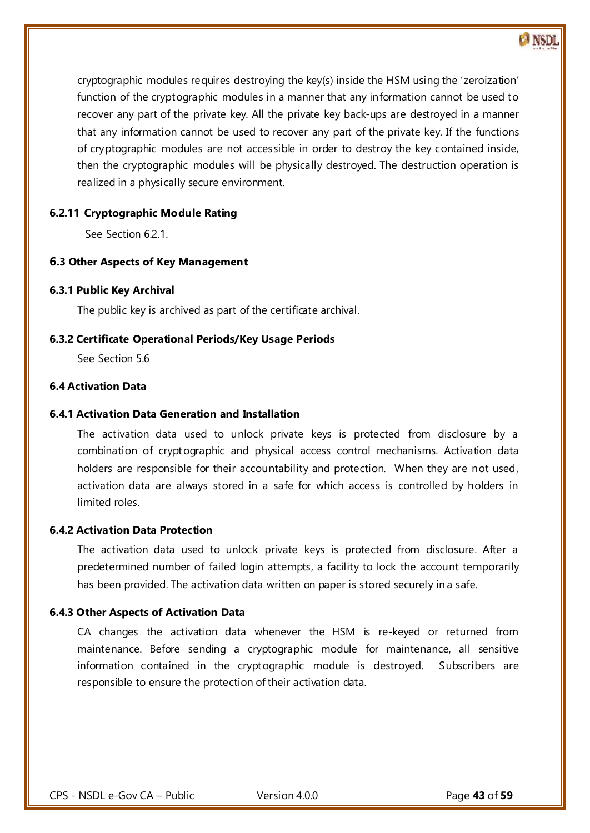cryptographic modules requires destroying the key(s) inside the HSM using the 'zeroization' function of the cryptographic modules in a manner that any information cannot be used to recover any part of the private key. All the private key back-ups are destroyed in a manner that any information cannot be used to recover any part of the private key. If the functions of cryptographic modules are not accessible in order to destroy the key contained inside, then the cryptographic modules will be physically destroyed. The destruction operation is realized in a physically secure environment.

# 6.2.11 Cryptographic Module Rating

See Section 6.2.1.

#### 6.3 Other Aspects of Key Management

#### 6.3.1 Public Key Archival

The public key is archived as part of the certificate archival.

#### 6.3.2 Certificate Operational Periods/Key Usage Periods

See Section 5.6

#### 6.4 Activation Data

#### 6.4.1 Activation Data Generation and Installation

The activation data used to unlock private keys is protected from disclosure by a combination of cryptographic and physical access control mechanisms. Activation data holders are responsible for their accountability and protection. When they are not used, activation data are always stored in a safe for which access is controlled by holders in limited roles.

## 6.4.2 Activation Data Protection

The activation data used to unlock private keys is protected from disclosure. After a predetermined number of failed login attempts, a facility to lock the account temporarily has been provided. The activation data written on paper is stored securely in a safe.

#### 6.4.3 Other Aspects of Activation Data

CA changes the activation data whenever the HSM is re-keyed or returned from maintenance. Before sending a cryptographic module for maintenance, all sensitive information contained in the cryptographic module is destroyed. Subscribers are responsible to ensure the protection of their activation data.

M NSD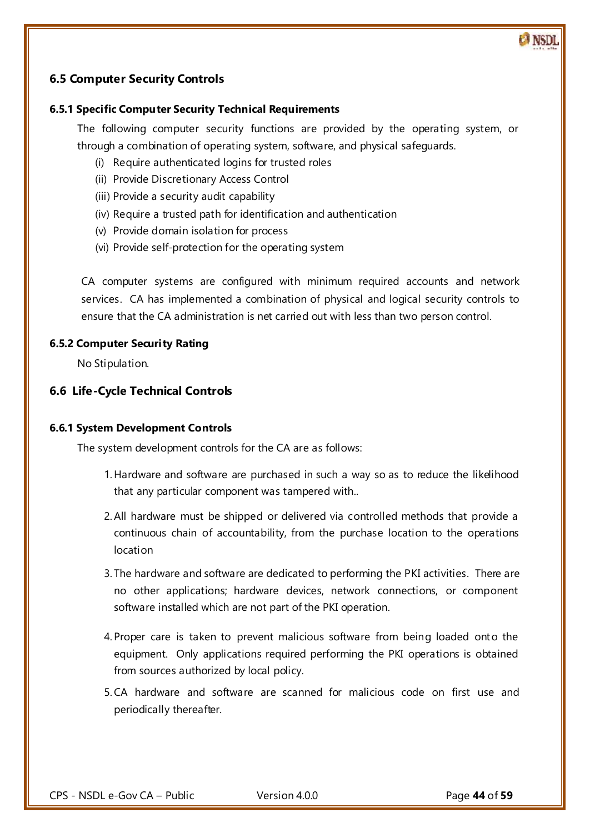

# 6.5 Computer Security Controls

#### 6.5.1 Specific Computer Security Technical Requirements

The following computer security functions are provided by the operating system, or through a combination of operating system, software, and physical safeguards.

- (i) Require authenticated logins for trusted roles
- (ii) Provide Discretionary Access Control
- (iii) Provide a security audit capability
- (iv) Require a trusted path for identification and authentication
- (v) Provide domain isolation for process
- (vi) Provide self-protection for the operating system

CA computer systems are configured with minimum required accounts and network services. CA has implemented a combination of physical and logical security controls to ensure that the CA administration is net carried out with less than two person control.

#### 6.5.2 Computer Security Rating

No Stipulation.

#### 6.6 Life-Cycle Technical Controls

#### 6.6.1 System Development Controls

The system development controls for the CA are as follows:

- 1. Hardware and software are purchased in such a way so as to reduce the likelihood that any particular component was tampered with..
- 2.All hardware must be shipped or delivered via controlled methods that provide a continuous chain of accountability, from the purchase location to the operations location
- 3. The hardware and software are dedicated to performing the PKI activities. There are no other applications; hardware devices, network connections, or component software installed which are not part of the PKI operation.
- 4. Proper care is taken to prevent malicious software from being loaded onto the equipment. Only applications required performing the PKI operations is obtained from sources authorized by local policy.
- 5.CA hardware and software are scanned for malicious code on first use and periodically thereafter.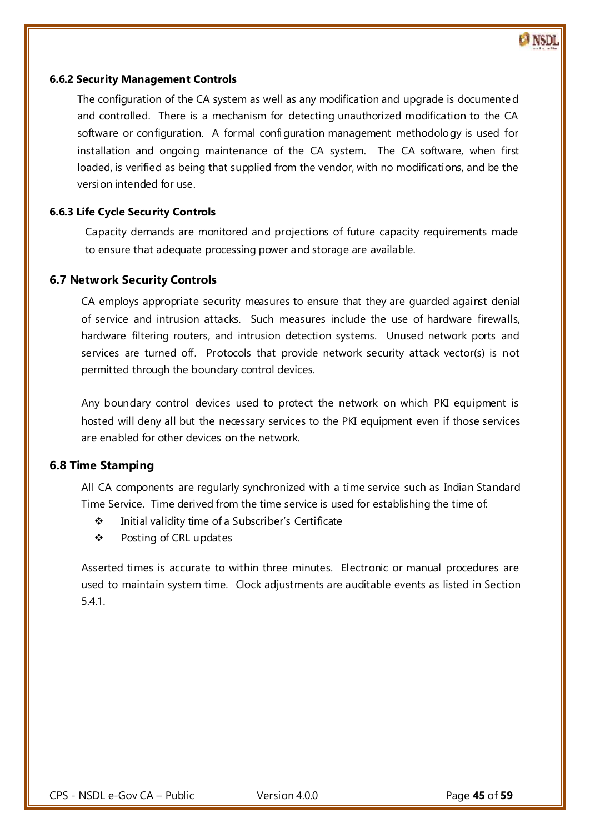

#### 6.6.2 Security Management Controls

The configuration of the CA system as well as any modification and upgrade is documente d and controlled. There is a mechanism for detecting unauthorized modification to the CA software or configuration. A formal configuration management methodology is used for installation and ongoing maintenance of the CA system. The CA software, when first loaded, is verified as being that supplied from the vendor, with no modifications, and be the version intended for use.

#### 6.6.3 Life Cycle Security Controls

Capacity demands are monitored and projections of future capacity requirements made to ensure that adequate processing power and storage are available.

#### 6.7 Network Security Controls

CA employs appropriate security measures to ensure that they are guarded against denial of service and intrusion attacks. Such measures include the use of hardware firewalls, hardware filtering routers, and intrusion detection systems. Unused network ports and services are turned off. Protocols that provide network security attack vector(s) is not permitted through the boundary control devices.

 hosted will deny all but the necessary services to the PKI equipment even if those services Any boundary control devices used to protect the network on which PKI equipment is are enabled for other devices on the network.

#### 6.8 Time Stamping

All CA components are regularly synchronized with a time service such as Indian Standard Time Service. Time derived from the time service is used for establishing the time of:

- Initial validity time of a Subscriber's Certificate
- ❖ Posting of CRL updates

Asserted times is accurate to within three minutes. Electronic or manual procedures are used to maintain system time. Clock adjustments are auditable events as listed in Section 5.4.1.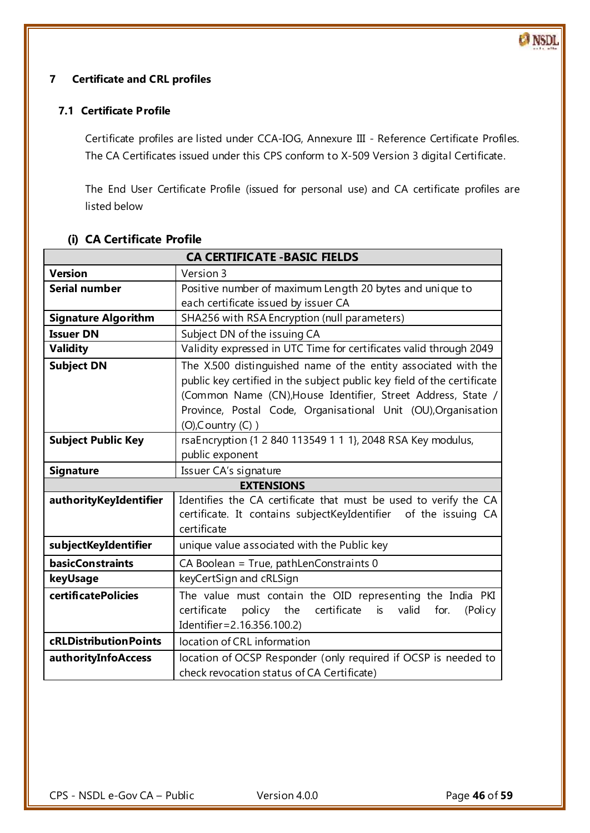# 7 Certificate and CRL profiles

#### 7.1 Certificate Profile

Certificate profiles are listed under CCA-IOG, Annexure III - Reference Certificate Profiles. The CA Certificates issued under this CPS conform to X-509 Version 3 digital Certificate.

The End User Certificate Profile (issued for personal use) and CA certificate profiles are listed below

| <b>CA CERTIFICATE - BASIC FIELDS</b> |                                                                         |  |
|--------------------------------------|-------------------------------------------------------------------------|--|
| <b>Version</b>                       | Version 3                                                               |  |
| <b>Serial number</b>                 | Positive number of maximum Length 20 bytes and unique to                |  |
|                                      | each certificate issued by issuer CA                                    |  |
| <b>Signature Algorithm</b>           | SHA256 with RSA Encryption (null parameters)                            |  |
| <b>Issuer DN</b>                     | Subject DN of the issuing CA                                            |  |
| <b>Validity</b>                      | Validity expressed in UTC Time for certificates valid through 2049      |  |
| <b>Subject DN</b>                    | The X.500 distinguished name of the entity associated with the          |  |
|                                      | public key certified in the subject public key field of the certificate |  |
|                                      | (Common Name (CN), House Identifier, Street Address, State /            |  |
|                                      | Province, Postal Code, Organisational Unit (OU), Organisation           |  |
|                                      | $(O)$ , C ountry $(C)$ )                                                |  |
| <b>Subject Public Key</b>            | rsaEncryption {1 2 840 113549 1 1 1}, 2048 RSA Key modulus,             |  |
|                                      | public exponent                                                         |  |
| <b>Signature</b>                     | Issuer CA's signature                                                   |  |
|                                      | <b>EXTENSIONS</b>                                                       |  |
| authorityKeyIdentifier               | Identifies the CA certificate that must be used to verify the CA        |  |
|                                      | certificate. It contains subjectKeyIdentifier of the issuing CA         |  |
|                                      | certificate                                                             |  |
| subjectKeyIdentifier                 | unique value associated with the Public key                             |  |
| basicConstraints                     | CA Boolean = True, pathLenConstraints 0                                 |  |
| keyUsage                             | keyCertSign and cRLSign                                                 |  |
| certificatePolicies                  | The value must contain the OID representing the India PKI               |  |
|                                      | certificate policy the certificate<br>for.<br>is<br>valid<br>(Policy    |  |
|                                      | Identifier=2.16.356.100.2)                                              |  |
| cRLDistribution Points               | location of CRL information                                             |  |
| authorityInfoAccess                  | location of OCSP Responder (only required if OCSP is needed to          |  |
|                                      | check revocation status of CA Certificate)                              |  |

# (i) CA Certificate Profile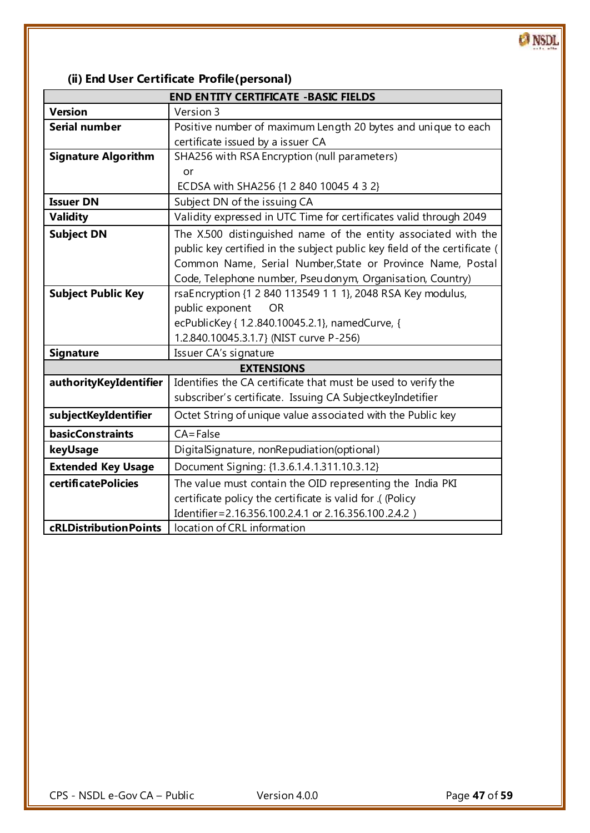

# (ii) End User Certificate Profile(personal)

| <b>END ENTITY CERTIFICATE - BASIC FIELDS</b> |                                                                           |  |
|----------------------------------------------|---------------------------------------------------------------------------|--|
| <b>Version</b>                               | Version 3                                                                 |  |
| <b>Serial number</b>                         | Positive number of maximum Length 20 bytes and unique to each             |  |
|                                              | certificate issued by a issuer CA                                         |  |
| <b>Signature Algorithm</b>                   | SHA256 with RSA Encryption (null parameters)                              |  |
|                                              | or                                                                        |  |
|                                              | ECDSA with SHA256 {1 2 840 10045 4 3 2}                                   |  |
| <b>Issuer DN</b>                             | Subject DN of the issuing CA                                              |  |
| <b>Validity</b>                              | Validity expressed in UTC Time for certificates valid through 2049        |  |
| <b>Subject DN</b>                            | The X.500 distinguished name of the entity associated with the            |  |
|                                              | public key certified in the subject public key field of the certificate ( |  |
|                                              | Common Name, Serial Number, State or Province Name, Postal                |  |
|                                              | Code, Telephone number, Pseudonym, Organisation, Country)                 |  |
| <b>Subject Public Key</b>                    | rsaEncryption {1 2 840 113549 1 1 1}, 2048 RSA Key modulus,               |  |
|                                              | public exponent<br><b>OR</b>                                              |  |
|                                              | ecPublicKey { 1.2.840.10045.2.1}, namedCurve, {                           |  |
|                                              | 1.2.840.10045.3.1.7} (NIST curve P-256)                                   |  |
| <b>Signature</b>                             | Issuer CA's signature                                                     |  |
| <b>EXTENSIONS</b>                            |                                                                           |  |
| authorityKeyIdentifier                       | Identifies the CA certificate that must be used to verify the             |  |
|                                              | subscriber's certificate. Issuing CA SubjectkeyIndetifier                 |  |
| subjectKeyIdentifier                         | Octet String of unique value associated with the Public key               |  |
| <b>basicConstraints</b>                      | $CA = False$                                                              |  |
| keyUsage                                     | DigitalSignature, nonRepudiation(optional)                                |  |
| <b>Extended Key Usage</b>                    | Document Signing: {1.3.6.1.4.1.311.10.3.12}                               |  |
| certificatePolicies                          | The value must contain the OID representing the India PKI                 |  |
|                                              | certificate policy the certificate is valid for .( (Policy                |  |
|                                              | Identifier=2.16.356.100.2.4.1 or 2.16.356.100.2.4.2)                      |  |
| cRLDistribution Points                       | location of CRL information                                               |  |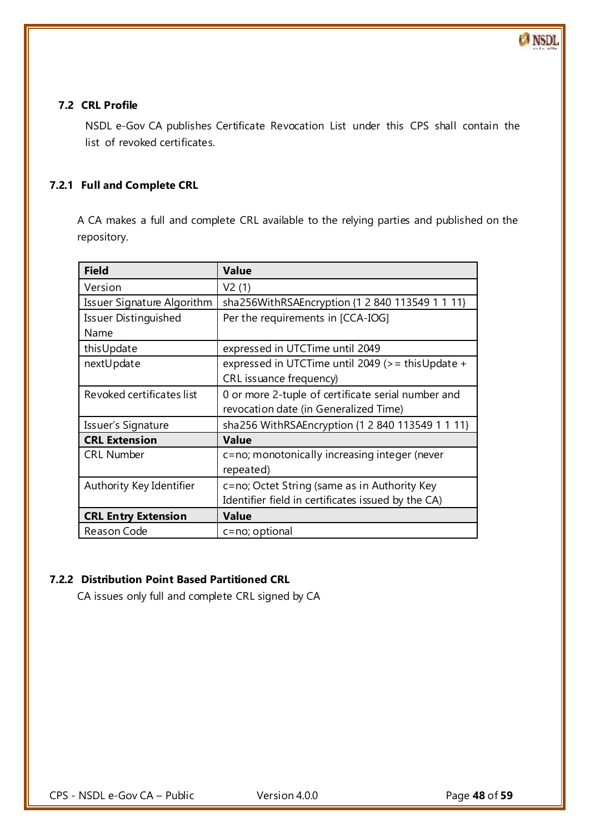

# 7.2 CRL Profile

NSDL e-Gov CA publishes Certificate Revocation List under this CPS shall contain the list of revoked certificates.

# 7.2.1 Full and Complete CRL

A CA makes a full and complete CRL available to the relying parties and published on the repository.

| <b>Field</b>               | <b>Value</b>                                          |
|----------------------------|-------------------------------------------------------|
| Version                    | V2(1)                                                 |
| Issuer Signature Algorithm | sha256WithRSAEncryption {1 2 840 113549 1 1 11}       |
| Issuer Distinguished       | Per the requirements in [CCA-IOG]                     |
| Name                       |                                                       |
| thisUpdate                 | expressed in UTCTime until 2049                       |
| nextUpdate                 | expressed in UTCTime until 2049 ( $>$ = this Update + |
|                            | CRL issuance frequency)                               |
| Revoked certificates list  | 0 or more 2-tuple of certificate serial number and    |
|                            | revocation date (in Generalized Time)                 |
| Issuer's Signature         | sha256 WithRSAEncryption {1 2 840 113549 1 1 11}      |
| <b>CRL Extension</b>       | <b>Value</b>                                          |
| <b>CRL Number</b>          | c=no; monotonically increasing integer (never         |
|                            | repeated)                                             |
| Authority Key Identifier   | c=no; Octet String (same as in Authority Key          |
|                            | Identifier field in certificates issued by the CA)    |
| <b>CRL Entry Extension</b> | <b>Value</b>                                          |
| Reason Code                | c=no; optional                                        |

# 7.2.2 Distribution Point Based Partitioned CRL

CA issues only full and complete CRL signed by CA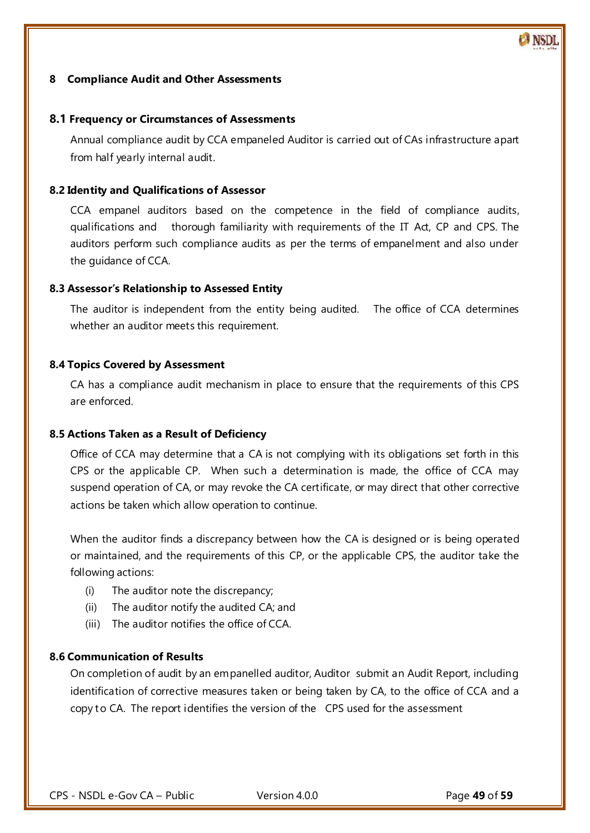# 8 Compliance Audit and Other Assessments

#### 8.1 Frequency or Circumstances of Assessments

Annual compliance audit by CCA empaneled Auditor is carried out of CAs infrastructure apart from half yearly internal audit.

#### 8.2 Identity and Qualifications of Assessor

CCA empanel auditors based on the competence in the field of compliance audits, qualifications and thorough familiarity with requirements of the IT Act, CP and CPS. The auditors perform such compliance audits as per the terms of empanelment and also under the guidance of CCA.

#### 8.3 Assessor's Relationship to Assessed Entity

The auditor is independent from the entity being audited. The office of CCA determines whether an auditor meets this requirement.

#### 8.4 Topics Covered by Assessment

CA has a compliance audit mechanism in place to ensure that the requirements of this CPS are enforced.

#### 8.5 Actions Taken as a Result of Deficiency

Office of CCA may determine that a CA is not complying with its obligations set forth in this CPS or the applicable CP. When such a determination is made, the office of CCA may suspend operation of CA, or may revoke the CA certificate, or may direct that other corrective actions be taken which allow operation to continue.

When the auditor finds a discrepancy between how the CA is designed or is being operated or maintained, and the requirements of this CP, or the applicable CPS, the auditor take the following actions:

- (i) The auditor note the discrepancy;
- (ii) The auditor notify the audited CA; and
- (iii) The auditor notifies the office of CCA.

### 8.6 Communication of Results

On completion of audit by an empanelled auditor, Auditor submit an Audit Report, including identification of corrective measures taken or being taken by CA, to the office of CCA and a copy to CA. The report identifies the version of the CPS used for the assessment

VI NSE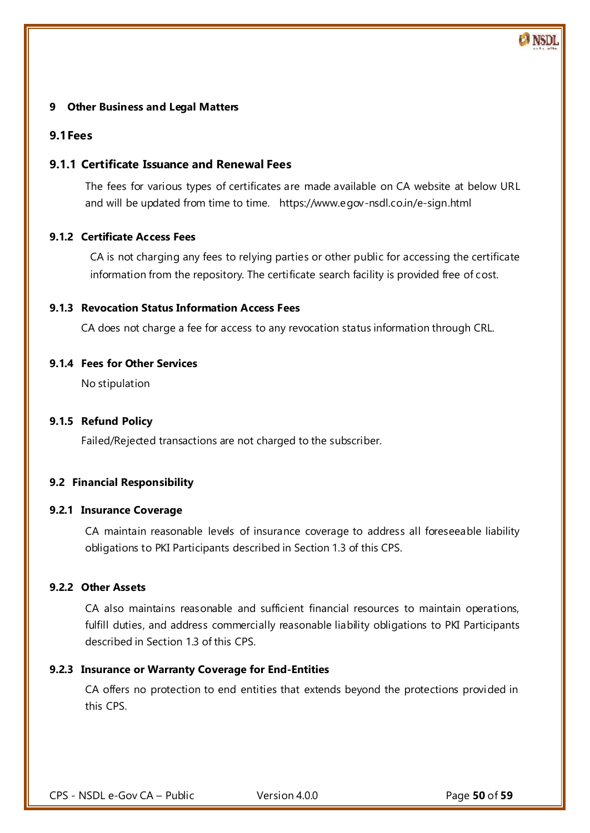# 9 Other Business and Legal Matters

# 9.1Fees

# 9.1.1 Certificate Issuance and Renewal Fees

The fees for various types of certificates are made available on CA website at below URL and will be updated from time to time. https://www.egov-nsdl.co.in/e-sign.html

# 9.1.2 Certificate Access Fees

CA is not charging any fees to relying parties or other public for accessing the certificate information from the repository. The certificate search facility is provided free of cost.

#### 9.1.3 Revocation Status Information Access Fees

CA does not charge a fee for access to any revocation status information through CRL.

#### 9.1.4 Fees for Other Services

No stipulation

#### 9.1.5 Refund Policy

Failed/Rejected transactions are not charged to the subscriber.

#### 9.2 Financial Responsibility

# 9.2.1 Insurance Coverage

CA maintain reasonable levels of insurance coverage to address all foreseeable liability obligations to PKI Participants described in Section 1.3 of this CPS.

# 9.2.2 Other Assets

CA also maintains reasonable and sufficient financial resources to maintain operations, fulfill duties, and address commercially reasonable liability obligations to PKI Participants described in Section 1.3 of this CPS.

## 9.2.3 Insurance or Warranty Coverage for End-Entities

CA offers no protection to end entities that extends beyond the protections provided in this CPS.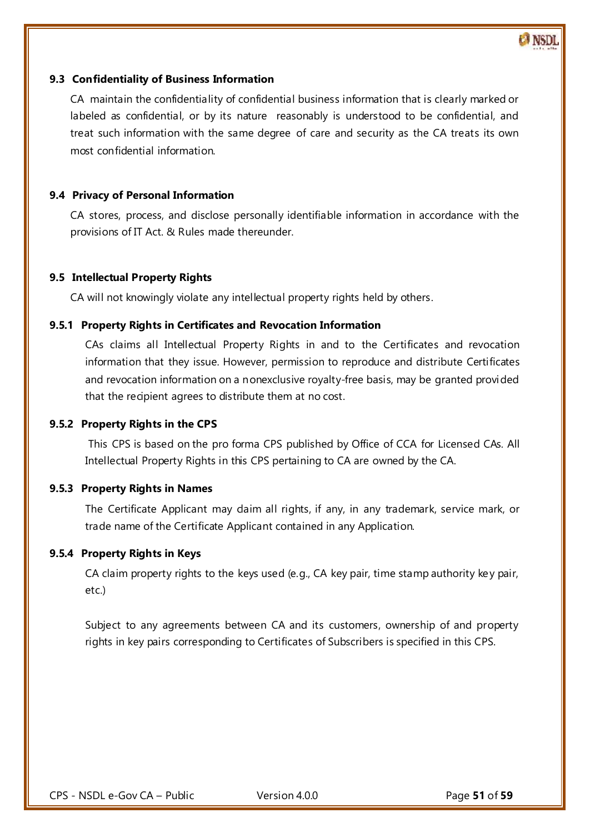#### 9.3 Confidentiality of Business Information

CA maintain the confidentiality of confidential business information that is clearly marked or labeled as confidential, or by its nature reasonably is understood to be confidential, and treat such information with the same degree of care and security as the CA treats its own most confidential information.

#### 9.4 Privacy of Personal Information

CA stores, process, and disclose personally identifiable information in accordance with the provisions of IT Act. & Rules made thereunder.

#### 9.5 Intellectual Property Rights

CA will not knowingly violate any intellectual property rights held by others.

#### 9.5.1 Property Rights in Certificates and Revocation Information

CAs claims all Intellectual Property Rights in and to the Certificates and revocation information that they issue. However, permission to reproduce and distribute Certificates and revocation information on a nonexclusive royalty-free basis, may be granted provided that the recipient agrees to distribute them at no cost.

#### 9.5.2 Property Rights in the CPS

 This CPS is based on the pro forma CPS published by Office of CCA for Licensed CAs. All Intellectual Property Rights in this CPS pertaining to CA are owned by the CA.

#### 9.5.3 Property Rights in Names

The Certificate Applicant may daim all rights, if any, in any trademark, service mark, or trade name of the Certificate Applicant contained in any Application.

#### 9.5.4 Property Rights in Keys

CA claim property rights to the keys used (e.g., CA key pair, time stamp authority key pair, etc.)

Subject to any agreements between CA and its customers, ownership of and property rights in key pairs corresponding to Certificates of Subscribers is specified in this CPS.

**CHNST**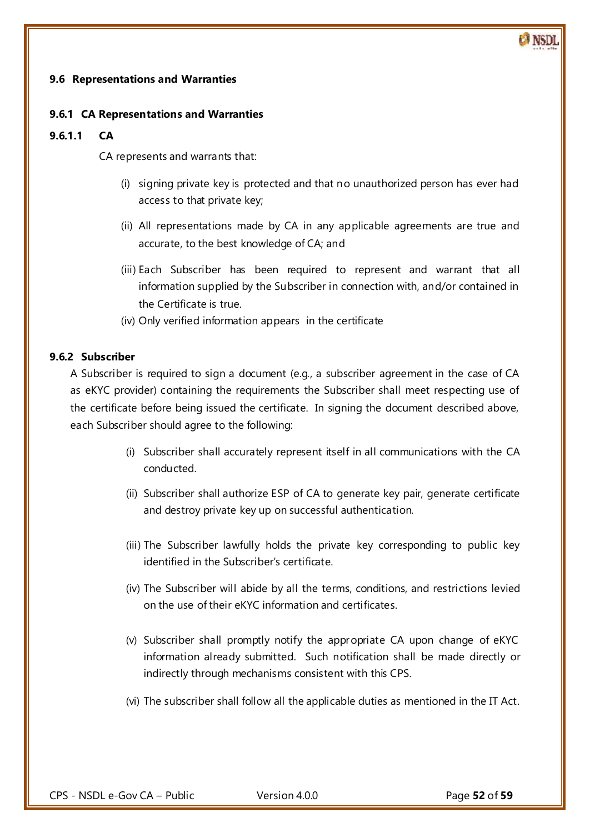

#### 9.6 Representations and Warranties

#### 9.6.1 CA Representations and Warranties

#### 9.6.1.1 CA

CA represents and warrants that:

- (i) signing private key is protected and that no unauthorized person has ever had access to that private key;
- (ii) All representations made by CA in any applicable agreements are true and accurate, to the best knowledge of CA; and
- (iii) Each Subscriber has been required to represent and warrant that all information supplied by the Subscriber in connection with, and/or contained in the Certificate is true.
- (iv) Only verified information appears in the certificate

#### 9.6.2 Subscriber

A Subscriber is required to sign a document (e.g., a subscriber agreement in the case of CA as eKYC provider) containing the requirements the Subscriber shall meet respecting use of the certificate before being issued the certificate. In signing the document described above, each Subscriber should agree to the following:

- (i) Subscriber shall accurately represent itself in all communications with the CA conducted.
- (ii) Subscriber shall authorize ESP of CA to generate key pair, generate certificate and destroy private key up on successful authentication.
- (iii) The Subscriber lawfully holds the private key corresponding to public key identified in the Subscriber's certificate.
- (iv) The Subscriber will abide by all the terms, conditions, and restrictions levied on the use of their eKYC information and certificates.
- (v) Subscriber shall promptly notify the appropriate CA upon change of eKYC information already submitted. Such notification shall be made directly or indirectly through mechanisms consistent with this CPS.
- (vi) The subscriber shall follow all the applicable duties as mentioned in the IT Act.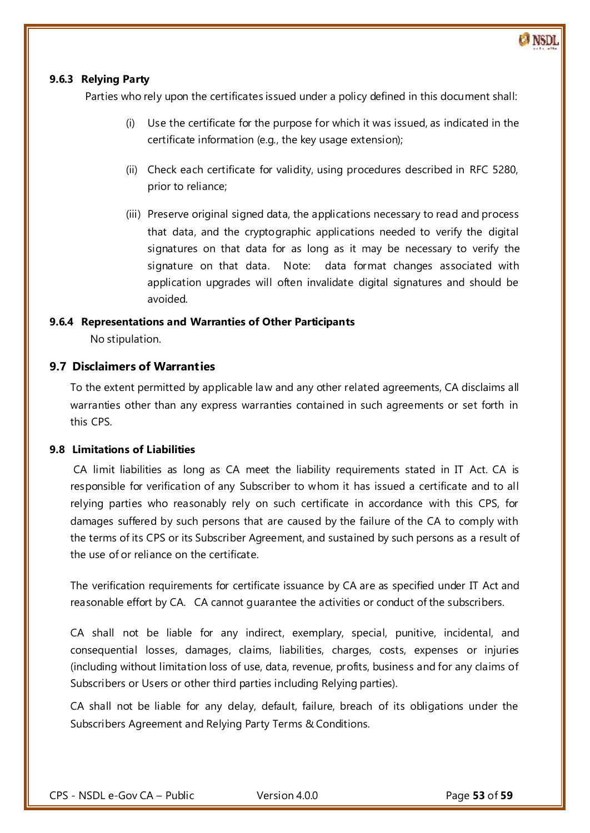

#### 9.6.3 Relying Party

Parties who rely upon the certificates issued under a policy defined in this document shall:

- (i) Use the certificate for the purpose for which it was issued, as indicated in the certificate information (e.g., the key usage extension);
- (ii) Check each certificate for validity, using procedures described in RFC 5280, prior to reliance;
- (iii) Preserve original signed data, the applications necessary to read and process that data, and the cryptographic applications needed to verify the digital signatures on that data for as long as it may be necessary to verify the signature on that data. Note: data format changes associated with application upgrades will often invalidate digital signatures and should be avoided.

#### 9.6.4 Representations and Warranties of Other Participants

No stipulation.

# 9.7 Disclaimers of Warranties

To the extent permitted by applicable law and any other related agreements, CA disclaims all warranties other than any express warranties contained in such agreements or set forth in this CPS.

#### 9.8 Limitations of Liabilities

 CA limit liabilities as long as CA meet the liability requirements stated in IT Act. CA is responsible for verification of any Subscriber to whom it has issued a certificate and to all relying parties who reasonably rely on such certificate in accordance with this CPS, for damages suffered by such persons that are caused by the failure of the CA to comply with the terms of its CPS or its Subscriber Agreement, and sustained by such persons as a result of the use of or reliance on the certificate.

The verification requirements for certificate issuance by CA are as specified under IT Act and reasonable effort by CA. CA cannot guarantee the activities or conduct of the subscribers.

CA shall not be liable for any indirect, exemplary, special, punitive, incidental, and consequential losses, damages, claims, liabilities, charges, costs, expenses or injuries (including without limitation loss of use, data, revenue, profits, business and for any claims of Subscribers or Users or other third parties including Relying parties).

CA shall not be liable for any delay, default, failure, breach of its obligations under the Subscribers Agreement and Relying Party Terms & Conditions.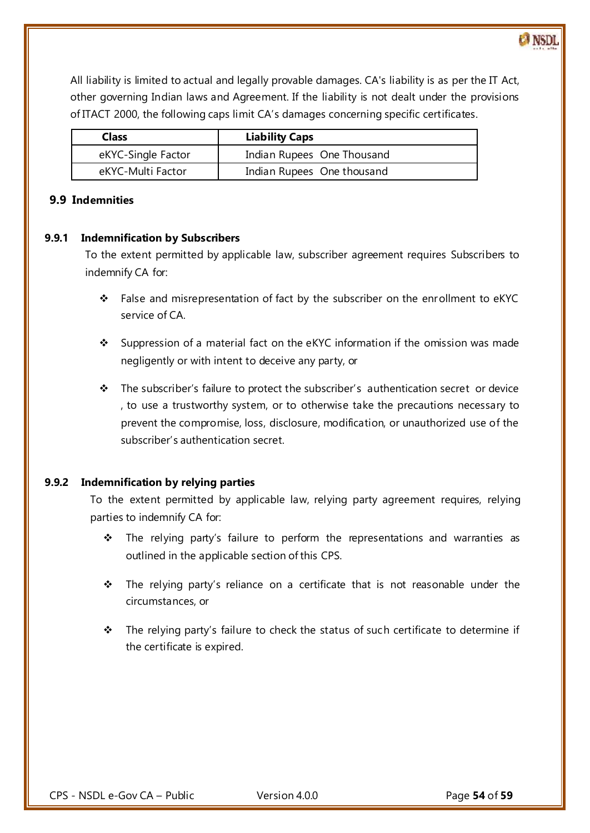All liability is limited to actual and legally provable damages. CA's liability is as per the IT Act, other governing Indian laws and Agreement. If the liability is not dealt under the provisions of ITACT 2000, the following caps limit CA's damages concerning specific certificates.

| <b>Class</b>       | <b>Liability Caps</b>      |
|--------------------|----------------------------|
| eKYC-Single Factor | Indian Rupees One Thousand |
| eKYC-Multi Factor  | Indian Rupees One thousand |

#### 9.9 Indemnities

#### 9.9.1 Indemnification by Subscribers

To the extent permitted by applicable law, subscriber agreement requires Subscribers to indemnify CA for:

- $\div$  False and misrepresentation of fact by the subscriber on the enrollment to eKYC service of CA.
- Suppression of a material fact on the eKYC information if the omission was made negligently or with intent to deceive any party, or
- prevent the compromise, loss, disclosure, modification, or unauthorized use of the  $\cdot \cdot$  The subscriber's failure to protect the subscriber's authentication secret or device , to use a trustworthy system, or to otherwise take the precautions necessary to subscriber's authentication secret.

#### 9.9.2 Indemnification by relying parties

To the extent permitted by applicable law, relying party agreement requires, relying parties to indemnify CA for:

- \* The relying party's failure to perform the representations and warranties as outlined in the applicable section of this CPS.
- $\div$  The relying party's reliance on a certificate that is not reasonable under the circumstances, or
- $\div$  The relying party's failure to check the status of such certificate to determine if the certificate is expired.

M NSD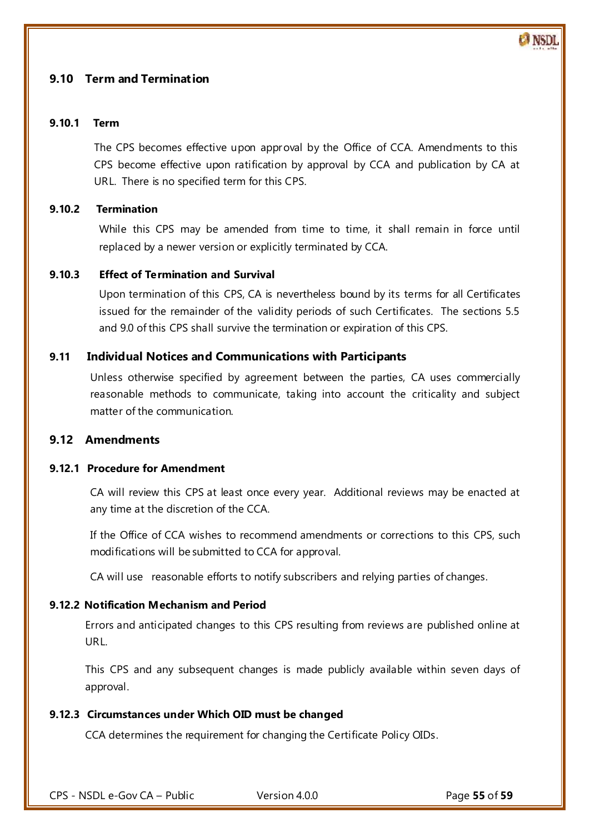# 9.10 Term and Termination

# 9.10.1 Term

The CPS becomes effective upon approval by the Office of CCA. Amendments to this CPS become effective upon ratification by approval by CCA and publication by CA at URL. There is no specified term for this CPS.

# 9.10.2 Termination

While this CPS may be amended from time to time, it shall remain in force until replaced by a newer version or explicitly terminated by CCA.

# 9.10.3 Effect of Termination and Survival

Upon termination of this CPS, CA is nevertheless bound by its terms for all Certificates issued for the remainder of the validity periods of such Certificates. The sections 5.5 and 9.0 of this CPS shall survive the termination or expiration of this CPS.

# 9.11 Individual Notices and Communications with Participants

Unless otherwise specified by agreement between the parties, CA uses commercially reasonable methods to communicate, taking into account the criticality and subject matter of the communication.

# 9.12 Amendments

# 9.12.1 Procedure for Amendment

CA will review this CPS at least once every year. Additional reviews may be enacted at any time at the discretion of the CCA.

If the Office of CCA wishes to recommend amendments or corrections to this CPS, such modifications will be submitted to CCA for approval.

CA will use reasonable efforts to notify subscribers and relying parties of changes.

# 9.12.2 Notification Mechanism and Period

Errors and anticipated changes to this CPS resulting from reviews are published online at URL.

This CPS and any subsequent changes is made publicly available within seven days of approval.

#### 9.12.3 Circumstances under Which OID must be changed

CCA determines the requirement for changing the Certificate Policy OIDs.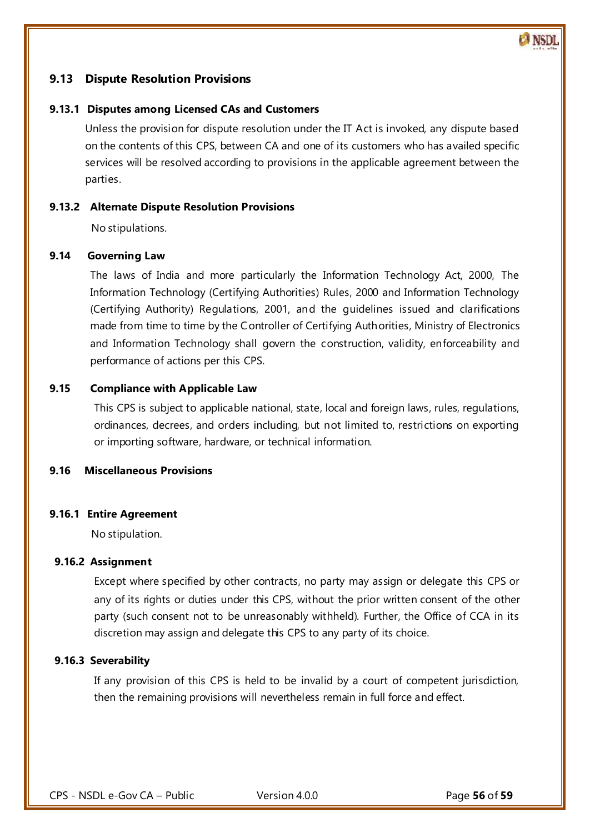

# 9.13 Dispute Resolution Provisions

#### 9.13.1 Disputes among Licensed CAs and Customers

Unless the provision for dispute resolution under the IT Act is invoked, any dispute based on the contents of this CPS, between CA and one of its customers who has availed specific services will be resolved according to provisions in the applicable agreement between the parties.

#### 9.13.2 Alternate Dispute Resolution Provisions

No stipulations.

#### 9.14 Governing Law

The laws of India and more particularly the Information Technology Act, 2000, The Information Technology (Certifying Authorities) Rules, 2000 and Information Technology (Certifying Authority) Regulations, 2001, and the guidelines issued and clarifications made from time to time by the Controller of Certifying Authorities, Ministry of Electronics and Information Technology shall govern the construction, validity, enforceability and performance of actions per this CPS.

#### 9.15 Compliance with Applicable Law

 ordinances, decrees, and orders including, but not limited to, restrictions on exporting This CPS is subject to applicable national, state, local and foreign laws, rules, regulations, or importing software, hardware, or technical information.

# 9.16 Miscellaneous Provisions

#### 9.16.1 Entire Agreement

No stipulation.

#### 9.16.2 Assignment

Except where specified by other contracts, no party may assign or delegate this CPS or any of its rights or duties under this CPS, without the prior written consent of the other party (such consent not to be unreasonably withheld). Further, the Office of CCA in its discretion may assign and delegate this CPS to any party of its choice.

#### 9.16.3 Severability

If any provision of this CPS is held to be invalid by a court of competent jurisdiction, then the remaining provisions will nevertheless remain in full force and effect.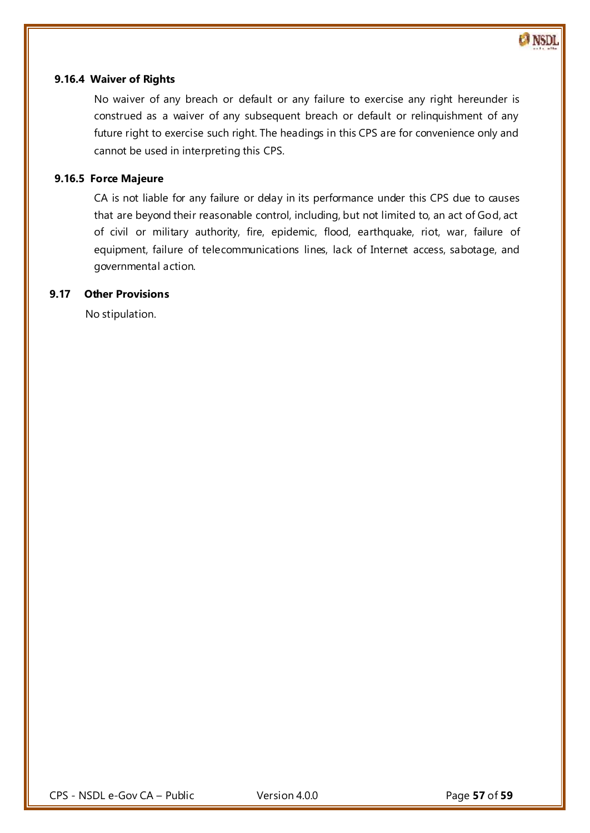

#### 9.16.4 Waiver of Rights

No waiver of any breach or default or any failure to exercise any right hereunder is construed as a waiver of any subsequent breach or default or relinquishment of any future right to exercise such right. The headings in this CPS are for convenience only and cannot be used in interpreting this CPS.

#### 9.16.5 Force Majeure

CA is not liable for any failure or delay in its performance under this CPS due to causes that are beyond their reasonable control, including, but not limited to, an act of God, act of civil or military authority, fire, epidemic, flood, earthquake, riot, war, failure of equipment, failure of telecommunications lines, lack of Internet access, sabotage, and governmental action.

#### 9.17 Other Provisions

No stipulation.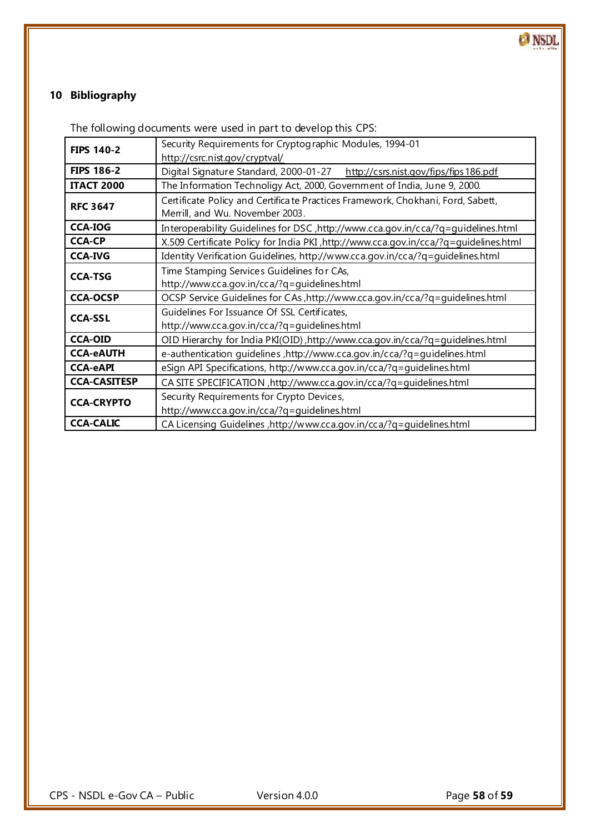# 10 Bibliography

| <b>FIPS 140-2</b>   | Security Requirements for Cryptog raphic Modules, 1994-01                            |
|---------------------|--------------------------------------------------------------------------------------|
|                     | http://csrc.nist.gov/cryptval/                                                       |
| <b>FIPS 186-2</b>   | Digital Signature Standard, 2000-01-27 http://csrs.nist.gov/fips/fips186.pdf         |
| <b>ITACT 2000</b>   | The Information Technoligy Act, 2000, Government of India, June 9, 2000.             |
| <b>RFC 3647</b>     | Certificate Policy and Certificate Practices Framework, Chokhani, Ford, Sabett,      |
|                     | Merrill, and Wu. November 2003.                                                      |
| <b>CCA-IOG</b>      | Interoperability Guidelines for DSC, http://www.cca.gov.in/cca/?q=guidelines.html    |
| <b>CCA-CP</b>       | X.509 Certificate Policy for India PKI ,http://www.cca.gov.in/cca/?q=guidelines.html |
| <b>CCA-IVG</b>      | Identity Verification Guidelines, http://www.cca.gov.in/cca/?q=guidelines.html       |
| <b>CCA-TSG</b>      | Time Stamping Services Guidelines for CAs,                                           |
|                     | http://www.cca.gov.in/cca/?q=guidelines.html                                         |
| <b>CCA-OCSP</b>     | OCSP Service Guidelines for CAs, http://www.cca.gov.in/cca/?q=guidelines.html        |
| <b>CCA-SSL</b>      | Guidelines For Issuance Of SSL Certificates,                                         |
|                     | http://www.cca.gov.in/cca/?q=guidelines.html                                         |
| <b>CCA-OID</b>      | OID Hierarchy for India PKI(OID), http://www.cca.gov.in/cca/?q=guidelines.html       |
| <b>CCA-eAUTH</b>    | e-authentication guidelines ,http://www.cca.gov.in/cca/?q=guidelines.html            |
| <b>CCA-eAPI</b>     | eSign API Specifications, http://www.cca.gov.in/cca/?q=guidelines.html               |
| <b>CCA-CASITESP</b> | CA SITE SPECIFICATION , http://www.cca.gov.in/cca/?q=guidelines.html                 |
| <b>CCA-CRYPTO</b>   | Security Requirements for Crypto Devices,                                            |
|                     | http://www.cca.gov.in/cca/?q=guidelines.html                                         |
| <b>CCA-CALIC</b>    | CA Licensing Guidelines , http://www.cca.gov.in/cca/?q=guidelines.html               |

The following documents were used in part to develop this CPS: